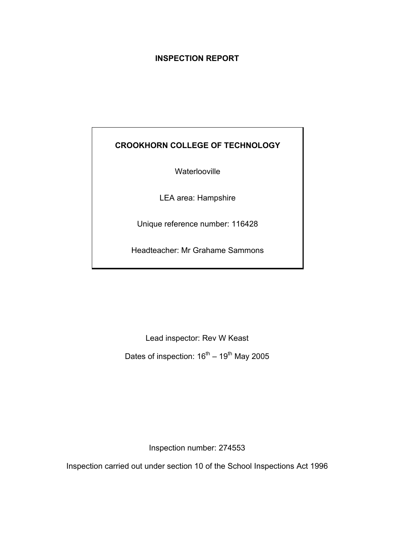# **INSPECTION REPORT**

# **CROOKHORN COLLEGE OF TECHNOLOGY**

**Waterlooville** 

LEA area: Hampshire

Unique reference number: 116428

Headteacher: Mr Grahame Sammons

Lead inspector: Rev W Keast Dates of inspection:  $16^{th} - 19^{th}$  May 2005

Inspection number: 274553

Inspection carried out under section 10 of the School Inspections Act 1996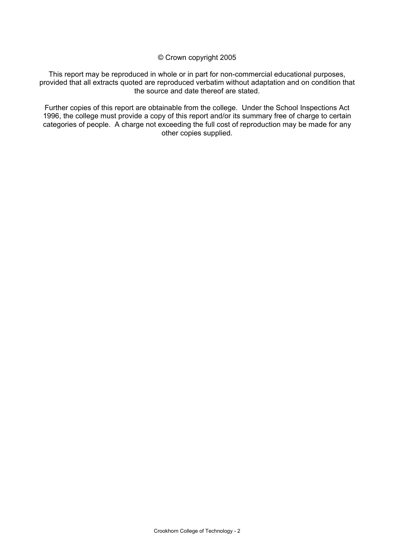© Crown copyright 2005

This report may be reproduced in whole or in part for non-commercial educational purposes, provided that all extracts quoted are reproduced verbatim without adaptation and on condition that the source and date thereof are stated.

Further copies of this report are obtainable from the college. Under the School Inspections Act 1996, the college must provide a copy of this report and/or its summary free of charge to certain categories of people. A charge not exceeding the full cost of reproduction may be made for any other copies supplied.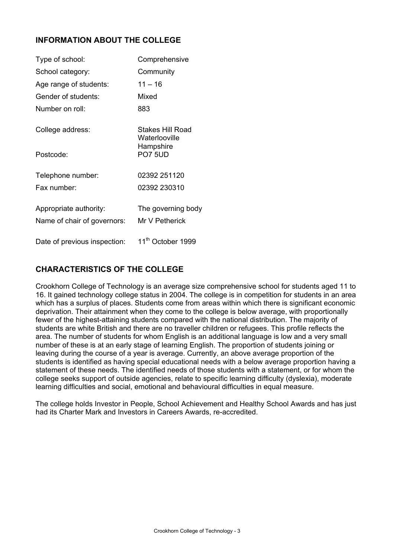# **INFORMATION ABOUT THE COLLEGE**

| Type of school:                                       | Comprehensive                        |
|-------------------------------------------------------|--------------------------------------|
| School category:                                      | Community                            |
| Age range of students:                                | $11 - 16$                            |
| Gender of students:                                   | Mixed                                |
| Number on roll:                                       | 883                                  |
| College address:                                      | Stakes Hill Road<br>Waterlooville    |
| Postcode:                                             | Hampshire<br><b>PO7 5UD</b>          |
| Telephone number:                                     | 02392 251120                         |
| Fax number:                                           | 02392 230310                         |
| Appropriate authority:<br>Name of chair of governors: | The governing body<br>Mr V Petherick |
| Date of previous inspection:                          | 11 <sup>th</sup> October 1999        |

# **CHARACTERISTICS OF THE COLLEGE**

Crookhorn College of Technology is an average size comprehensive school for students aged 11 to 16. It gained technology college status in 2004. The college is in competition for students in an area which has a surplus of places. Students come from areas within which there is significant economic deprivation. Their attainment when they come to the college is below average, with proportionally fewer of the highest-attaining students compared with the national distribution. The majority of students are white British and there are no traveller children or refugees. This profile reflects the area. The number of students for whom English is an additional language is low and a very small number of these is at an early stage of learning English. The proportion of students joining or leaving during the course of a year is average. Currently, an above average proportion of the students is identified as having special educational needs with a below average proportion having a statement of these needs. The identified needs of those students with a statement, or for whom the college seeks support of outside agencies, relate to specific learning difficulty (dyslexia), moderate learning difficulties and social, emotional and behavioural difficulties in equal measure.

The college holds Investor in People, School Achievement and Healthy School Awards and has just had its Charter Mark and Investors in Careers Awards, re-accredited.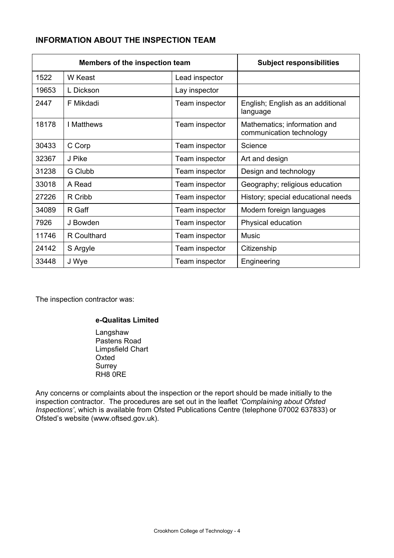# **INFORMATION ABOUT THE INSPECTION TEAM**

| Members of the inspection team |             |                | <b>Subject responsibilities</b>                          |
|--------------------------------|-------------|----------------|----------------------------------------------------------|
| 1522                           | W Keast     | Lead inspector |                                                          |
| 19653                          | L Dickson   | Lay inspector  |                                                          |
| 2447                           | F Mikdadi   | Team inspector | English; English as an additional<br>language            |
| 18178                          | I Matthews  | Team inspector | Mathematics; information and<br>communication technology |
| 30433                          | C Corp      | Team inspector | Science                                                  |
| 32367                          | J Pike      | Team inspector | Art and design                                           |
| 31238                          | G Clubb     | Team inspector | Design and technology                                    |
| 33018                          | A Read      | Team inspector | Geography; religious education                           |
| 27226                          | R Cribb     | Team inspector | History; special educational needs                       |
| 34089                          | R Gaff      | Team inspector | Modern foreign languages                                 |
| 7926                           | J Bowden    | Team inspector | Physical education                                       |
| 11746                          | R Coulthard | Team inspector | Music                                                    |
| 24142                          | S Argyle    | Team inspector | Citizenship                                              |
| 33448                          | J Wye       | Team inspector | Engineering                                              |

The inspection contractor was:

### **e-Qualitas Limited**

**Langshaw**  Pastens Road Limpsfield Chart Oxted Surrey RH8 0RE

Any concerns or complaints about the inspection or the report should be made initially to the inspection contractor. The procedures are set out in the leaflet *'Complaining about Ofsted Inspections'*, which is available from Ofsted Publications Centre (telephone 07002 637833) or Ofsted's website (www.oftsed.gov.uk).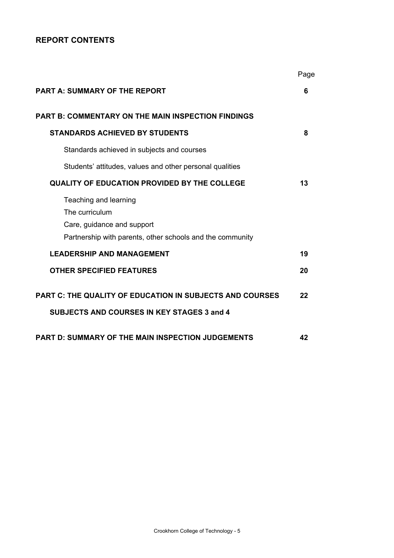# **REPORT CONTENTS**

|                                                                                                                                    | Page |
|------------------------------------------------------------------------------------------------------------------------------------|------|
| <b>PART A: SUMMARY OF THE REPORT</b>                                                                                               | 6    |
| <b>PART B: COMMENTARY ON THE MAIN INSPECTION FINDINGS</b>                                                                          |      |
| <b>STANDARDS ACHIEVED BY STUDENTS</b>                                                                                              | 8    |
| Standards achieved in subjects and courses                                                                                         |      |
| Students' attitudes, values and other personal qualities                                                                           |      |
| <b>QUALITY OF EDUCATION PROVIDED BY THE COLLEGE</b>                                                                                | 13   |
| Teaching and learning<br>The curriculum<br>Care, guidance and support<br>Partnership with parents, other schools and the community |      |
| <b>LEADERSHIP AND MANAGEMENT</b>                                                                                                   | 19   |
| <b>OTHER SPECIFIED FEATURES</b>                                                                                                    | 20   |
| <b>PART C: THE QUALITY OF EDUCATION IN SUBJECTS AND COURSES</b><br><b>SUBJECTS AND COURSES IN KEY STAGES 3 and 4</b>               | 22   |
| <b>PART D: SUMMARY OF THE MAIN INSPECTION JUDGEMENTS</b>                                                                           | 42   |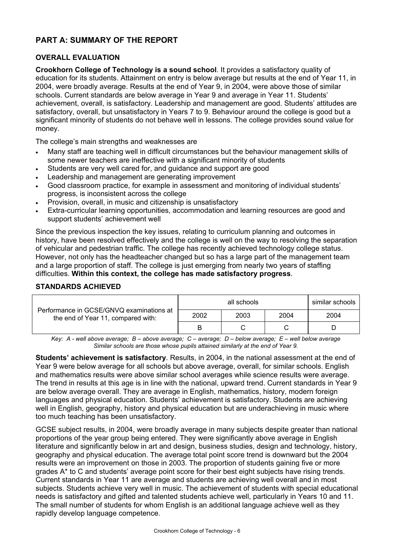# **PART A: SUMMARY OF THE REPORT**

### **OVERALL EVALUATION**

**Crookhorn College of Technology is a sound school**. It provides a satisfactory quality of education for its students. Attainment on entry is below average but results at the end of Year 11, in 2004, were broadly average. Results at the end of Year 9, in 2004, were above those of similar schools. Current standards are below average in Year 9 and average in Year 11. Students' achievement, overall, is satisfactory. Leadership and management are good. Students' attitudes are satisfactory, overall, but unsatisfactory in Years 7 to 9. Behaviour around the college is good but a significant minority of students do not behave well in lessons. The college provides sound value for money.

The college's main strengths and weaknesses are

- Many staff are teaching well in difficult circumstances but the behaviour management skills of some newer teachers are ineffective with a significant minority of students
- Students are very well cared for, and guidance and support are good
- Leadership and management are generating improvement
- Good classroom practice, for example in assessment and monitoring of individual students' progress, is inconsistent across the college
- Provision, overall, in music and citizenship is unsatisfactory
- Extra-curricular learning opportunities, accommodation and learning resources are good and support students' achievement well

Since the previous inspection the key issues, relating to curriculum planning and outcomes in history, have been resolved effectively and the college is well on the way to resolving the separation of vehicular and pedestrian traffic. The college has recently achieved technology college status. However, not only has the headteacher changed but so has a large part of the management team and a large proportion of staff. The college is just emerging from nearly two years of staffing difficulties. **Within this context, the college has made satisfactory progress**.

#### **STANDARDS ACHIEVED**

|                                                                                | similar schools<br>all schools |      |      |      |
|--------------------------------------------------------------------------------|--------------------------------|------|------|------|
| Performance in GCSE/GNVQ examinations at<br>the end of Year 11, compared with: | 2002                           | 2003 | 2004 | 2004 |
|                                                                                |                                |      |      |      |

*Key: A - well above average; B – above average; C – average; D – below average; E – well below average Similar schools are those whose pupils attained similarly at the end of Year 9.* 

**Students' achievement is satisfactory**. Results, in 2004, in the national assessment at the end of Year 9 were below average for all schools but above average, overall, for similar schools. English and mathematics results were above similar school averages while science results were average. The trend in results at this age is in line with the national, upward trend. Current standards in Year 9 are below average overall. They are average in English, mathematics, history, modern foreign languages and physical education. Students' achievement is satisfactory. Students are achieving well in English, geography, history and physical education but are underachieving in music where too much teaching has been unsatisfactory.

GCSE subject results, in 2004, were broadly average in many subjects despite greater than national proportions of the year group being entered. They were significantly above average in English literature and significantly below in art and design, business studies, design and technology, history, geography and physical education. The average total point score trend is downward but the 2004 results were an improvement on those in 2003. The proportion of students gaining five or more grades A\* to C and students' average point score for their best eight subjects have rising trends. Current standards in Year 11 are average and students are achieving well overall and in most subjects. Students achieve very well in music. The achievement of students with special educational needs is satisfactory and gifted and talented students achieve well, particularly in Years 10 and 11. The small number of students for whom English is an additional language achieve well as they rapidly develop language competence.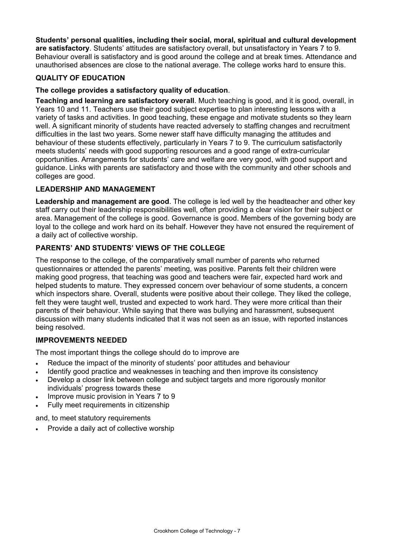**Students' personal qualities, including their social, moral, spiritual and cultural development are satisfactory**. Students' attitudes are satisfactory overall, but unsatisfactory in Years 7 to 9. Behaviour overall is satisfactory and is good around the college and at break times. Attendance and unauthorised absences are close to the national average. The college works hard to ensure this.

### **QUALITY OF EDUCATION**

### **The college provides a satisfactory quality of education**.

**Teaching and learning are satisfactory overall**. Much teaching is good, and it is good, overall, in Years 10 and 11. Teachers use their good subject expertise to plan interesting lessons with a variety of tasks and activities. In good teaching, these engage and motivate students so they learn well. A significant minority of students have reacted adversely to staffing changes and recruitment difficulties in the last two years. Some newer staff have difficulty managing the attitudes and behaviour of these students effectively, particularly in Years 7 to 9. The curriculum satisfactorily meets students' needs with good supporting resources and a good range of extra-curricular opportunities. Arrangements for students' care and welfare are very good, with good support and guidance. Links with parents are satisfactory and those with the community and other schools and colleges are good.

### **LEADERSHIP AND MANAGEMENT**

**Leadership and management are good**. The college is led well by the headteacher and other key staff carry out their leadership responsibilities well, often providing a clear vision for their subject or area. Management of the college is good. Governance is good. Members of the governing body are loyal to the college and work hard on its behalf. However they have not ensured the requirement of a daily act of collective worship.

### **PARENTS' AND STUDENTS' VIEWS OF THE COLLEGE**

The response to the college, of the comparatively small number of parents who returned questionnaires or attended the parents' meeting, was positive. Parents felt their children were making good progress, that teaching was good and teachers were fair, expected hard work and helped students to mature. They expressed concern over behaviour of some students, a concern which inspectors share. Overall, students were positive about their college. They liked the college, felt they were taught well, trusted and expected to work hard. They were more critical than their parents of their behaviour. While saying that there was bullying and harassment, subsequent discussion with many students indicated that it was not seen as an issue, with reported instances being resolved.

### **IMPROVEMENTS NEEDED**

The most important things the college should do to improve are

- Reduce the impact of the minority of students' poor attitudes and behaviour
- Identify good practice and weaknesses in teaching and then improve its consistency
- Develop a closer link between college and subject targets and more rigorously monitor individuals' progress towards these
- Improve music provision in Years 7 to 9
- Fully meet requirements in citizenship

and, to meet statutory requirements

• Provide a daily act of collective worship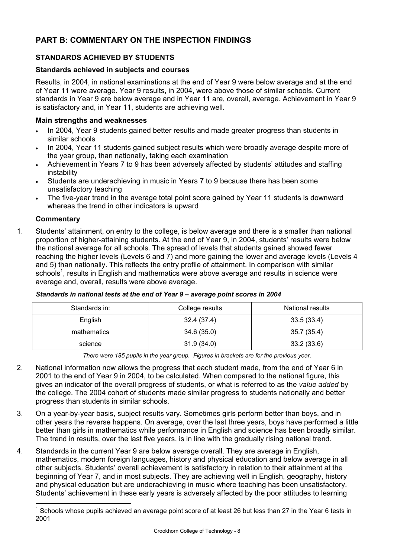# **PART B: COMMENTARY ON THE INSPECTION FINDINGS**

# **STANDARDS ACHIEVED BY STUDENTS**

### **Standards achieved in subjects and courses**

Results, in 2004, in national examinations at the end of Year 9 were below average and at the end of Year 11 were average. Year 9 results, in 2004, were above those of similar schools. Current standards in Year 9 are below average and in Year 11 are, overall, average. Achievement in Year 9 is satisfactory and, in Year 11, students are achieving well.

#### **Main strengths and weaknesses**

- In 2004, Year 9 students gained better results and made greater progress than students in similar schools
- In 2004, Year 11 students gained subject results which were broadly average despite more of the year group, than nationally, taking each examination
- Achievement in Years 7 to 9 has been adversely affected by students' attitudes and staffing instability
- Students are underachieving in music in Years 7 to 9 because there has been some unsatisfactory teaching
- The five-year trend in the average total point score gained by Year 11 students is downward whereas the trend in other indicators is upward

### **Commentary**

l

1. Students' attainment, on entry to the college, is below average and there is a smaller than national proportion of higher-attaining students. At the end of Year 9, in 2004, students' results were below the national average for all schools. The spread of levels that students gained showed fewer reaching the higher levels (Levels 6 and 7) and more gaining the lower and average levels (Levels 4 and 5) than nationally. This reflects the entry profile of attainment. In comparison with similar schools<sup>1</sup>, results in English and mathematics were above average and results in science were average and, overall, results were above average.

| Standards in: | College results | National results |
|---------------|-----------------|------------------|
| English       | 32.4 (37.4)     | 33.5(33.4)       |
| mathematics   | 34.6 (35.0)     | 35.7(35.4)       |
| science       | 31.9(34.0)      | 33.2(33.6)       |

#### *Standards in national tests at the end of Year 9 – average point scores in 2004*

*There were 185 pupils in the year group. Figures in brackets are for the previous year.* 

- 2. National information now allows the progress that each student made, from the end of Year 6 in 2001 to the end of Year 9 in 2004, to be calculated. When compared to the national figure, this gives an indicator of the overall progress of students, or what is referred to as the *value added* by the college. The 2004 cohort of students made similar progress to students nationally and better progress than students in similar schools.
- 3. On a year-by-year basis, subject results vary. Sometimes girls perform better than boys, and in other years the reverse happens. On average, over the last three years, boys have performed a little better than girls in mathematics while performance in English and science has been broadly similar. The trend in results, over the last five years, is in line with the gradually rising national trend.
- 4. Standards in the current Year 9 are below average overall. They are average in English, mathematics, modern foreign languages, history and physical education and below average in all other subjects. Students' overall achievement is satisfactory in relation to their attainment at the beginning of Year 7, and in most subjects. They are achieving well in English, geography, history and physical education but are underachieving in music where teaching has been unsatisfactory. Students' achievement in these early years is adversely affected by the poor attitudes to learning

 $1$  Schools whose pupils achieved an average point score of at least 26 but less than 27 in the Year 6 tests in 2001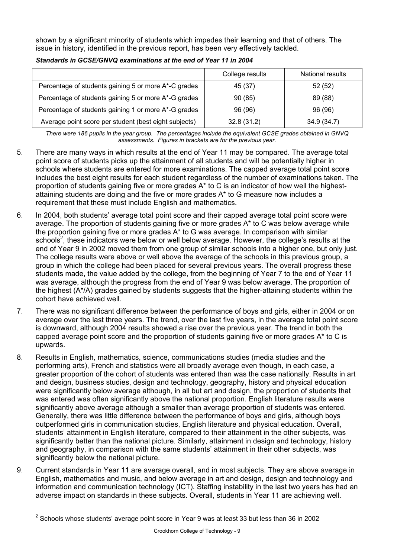shown by a significant minority of students which impedes their learning and that of others. The issue in history, identified in the previous report, has been very effectively tackled.

|                                                       | College results | <b>National results</b> |
|-------------------------------------------------------|-----------------|-------------------------|
| Percentage of students gaining 5 or more A*-C grades  | 45 (37)         | 52 (52)                 |
| Percentage of students gaining 5 or more A*-G grades  | 90(85)          | 89 (88)                 |
| Percentage of students gaining 1 or more A*-G grades  | 96 (96)         | 96 (96)                 |
| Average point score per student (best eight subjects) | 32.8(31.2)      | 34.9 (34.7)             |

### *Standards in GCSE/GNVQ examinations at the end of Year 11 in 2004*

*There were 186 pupils in the year group. The percentages include the equivalent GCSE grades obtained in GNVQ assessments. Figures in brackets are for the previous year.* 

- 5. There are many ways in which results at the end of Year 11 may be compared. The average total point score of students picks up the attainment of all students and will be potentially higher in schools where students are entered for more examinations. The capped average total point score includes the best eight results for each student regardless of the number of examinations taken. The proportion of students gaining five or more grades A<sup>\*</sup> to C is an indicator of how well the highestattaining students are doing and the five or more grades A\* to G measure now includes a requirement that these must include English and mathematics.
- 6. In 2004, both students' average total point score and their capped average total point score were average. The proportion of students gaining five or more grades A\* to C was below average while the proportion gaining five or more grades A\* to G was average. In comparison with similar schools<sup>2</sup>, these indicators were below or well below average. However, the college's results at the end of Year 9 in 2002 moved them from one group of similar schools into a higher one, but only just. The college results were above or well above the average of the schools in this previous group, a group in which the college had been placed for several previous years. The overall progress these students made, the value added by the college, from the beginning of Year 7 to the end of Year 11 was average, although the progress from the end of Year 9 was below average. The proportion of the highest (A\*/A) grades gained by students suggests that the higher-attaining students within the cohort have achieved well.
- 7. There was no significant difference between the performance of boys and girls, either in 2004 or on average over the last three years. The trend, over the last five years, in the average total point score is downward, although 2004 results showed a rise over the previous year. The trend in both the capped average point score and the proportion of students gaining five or more grades A\* to C is upwards.
- 8. Results in English, mathematics, science, communications studies (media studies and the performing arts), French and statistics were all broadly average even though, in each case, a greater proportion of the cohort of students was entered than was the case nationally. Results in art and design, business studies, design and technology, geography, history and physical education were significantly below average although, in all but art and design, the proportion of students that was entered was often significantly above the national proportion. English literature results were significantly above average although a smaller than average proportion of students was entered. Generally, there was little difference between the performance of boys and girls, although boys outperformed girls in communication studies, English literature and physical education. Overall, students' attainment in English literature, compared to their attainment in the other subjects, was significantly better than the national picture. Similarly, attainment in design and technology, history and geography, in comparison with the same students' attainment in their other subjects, was significantly below the national picture.
- 9. Current standards in Year 11 are average overall, and in most subjects. They are above average in English, mathematics and music, and below average in art and design, design and technology and information and communication technology (ICT). Staffing instability in the last two years has had an adverse impact on standards in these subjects. Overall, students in Year 11 are achieving well.

l

 $2$  Schools whose students' average point score in Year 9 was at least 33 but less than 36 in 2002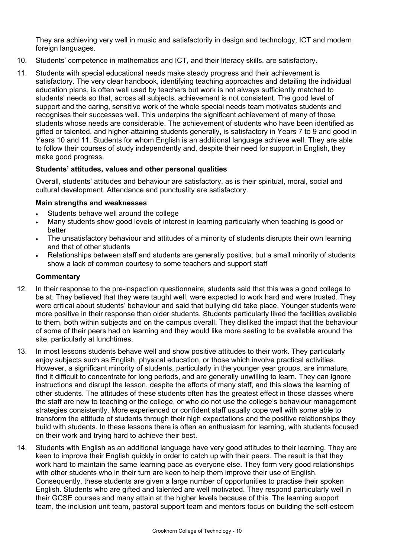They are achieving very well in music and satisfactorily in design and technology, ICT and modern foreign languages.

- 10. Students' competence in mathematics and ICT, and their literacy skills, are satisfactory.
- 11. Students with special educational needs make steady progress and their achievement is satisfactory. The very clear handbook, identifying teaching approaches and detailing the individual education plans, is often well used by teachers but work is not always sufficiently matched to students' needs so that, across all subjects, achievement is not consistent. The good level of support and the caring, sensitive work of the whole special needs team motivates students and recognises their successes well. This underpins the significant achievement of many of those students whose needs are considerable. The achievement of students who have been identified as gifted or talented, and higher-attaining students generally, is satisfactory in Years 7 to 9 and good in Years 10 and 11. Students for whom English is an additional language achieve well. They are able to follow their courses of study independently and, despite their need for support in English, they make good progress.

### **Students' attitudes, values and other personal qualities**

Overall, students' attitudes and behaviour are satisfactory, as is their spiritual, moral, social and cultural development. Attendance and punctuality are satisfactory.

#### **Main strengths and weaknesses**

- Students behave well around the college
- Many students show good levels of interest in learning particularly when teaching is good or better
- The unsatisfactory behaviour and attitudes of a minority of students disrupts their own learning and that of other students
- Relationships between staff and students are generally positive, but a small minority of students show a lack of common courtesy to some teachers and support staff

- 12. In their response to the pre-inspection questionnaire, students said that this was a good college to be at. They believed that they were taught well, were expected to work hard and were trusted. They were critical about students' behaviour and said that bullying did take place. Younger students were more positive in their response than older students. Students particularly liked the facilities available to them, both within subjects and on the campus overall. They disliked the impact that the behaviour of some of their peers had on learning and they would like more seating to be available around the site, particularly at lunchtimes.
- 13. In most lessons students behave well and show positive attitudes to their work. They particularly enjoy subjects such as English, physical education, or those which involve practical activities. However, a significant minority of students, particularly in the younger year groups, are immature, find it difficult to concentrate for long periods, and are generally unwilling to learn. They can ignore instructions and disrupt the lesson, despite the efforts of many staff, and this slows the learning of other students. The attitudes of these students often has the greatest effect in those classes where the staff are new to teaching or the college, or who do not use the college's behaviour management strategies consistently. More experienced or confident staff usually cope well with some able to transform the attitude of students through their high expectations and the positive relationships they build with students. In these lessons there is often an enthusiasm for learning, with students focused on their work and trying hard to achieve their best.
- 14. Students with English as an additional language have very good attitudes to their learning. They are keen to improve their English quickly in order to catch up with their peers. The result is that they work hard to maintain the same learning pace as everyone else. They form very good relationships with other students who in their turn are keen to help them improve their use of English. Consequently, these students are given a large number of opportunities to practise their spoken English. Students who are gifted and talented are well motivated. They respond particularly well in their GCSE courses and many attain at the higher levels because of this. The learning support team, the inclusion unit team, pastoral support team and mentors focus on building the self-esteem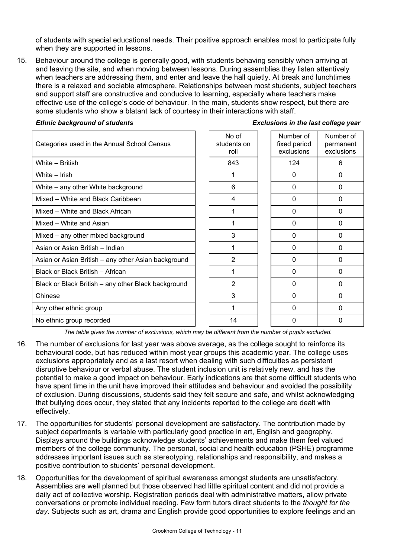of students with special educational needs. Their positive approach enables most to participate fully when they are supported in lessons.

15. Behaviour around the college is generally good, with students behaving sensibly when arriving at and leaving the site, and when moving between lessons. During assemblies they listen attentively when teachers are addressing them, and enter and leave the hall quietly. At break and lunchtimes there is a relaxed and sociable atmosphere. Relationships between most students, subject teachers and support staff are constructive and conducive to learning, especially where teachers make effective use of the college's code of behaviour. In the main, students show respect, but there are some students who show a blatant lack of courtesy in their interactions with staff.

| Categories used in the Annual School Census         | No of<br>students on<br>roll | Number of<br>fixed period<br>exclusions | Number of<br>permanent<br>exclusions |
|-----------------------------------------------------|------------------------------|-----------------------------------------|--------------------------------------|
| White - British                                     | 843                          | 124                                     | 6                                    |
| White – Irish                                       |                              | 0                                       | $\Omega$                             |
| White - any other White background                  | 6                            | 0                                       | $\mathbf{0}$                         |
| Mixed – White and Black Caribbean                   | 4                            | 0                                       | $\mathbf{0}$                         |
| Mixed - White and Black African                     |                              | 0                                       | $\Omega$                             |
| Mixed - White and Asian                             |                              | 0                                       | 0                                    |
| Mixed – any other mixed background                  | 3                            | 0                                       | $\Omega$                             |
| Asian or Asian British - Indian                     |                              | 0                                       | $\Omega$                             |
| Asian or Asian British - any other Asian background | $\overline{2}$               | $\Omega$                                | $\Omega$                             |
| Black or Black British - African                    |                              | 0                                       | 0                                    |
| Black or Black British – any other Black background | $\overline{2}$               | 0                                       | $\Omega$                             |
| Chinese                                             | 3                            | 0                                       | $\Omega$                             |
| Any other ethnic group                              |                              | 0                                       | $\Omega$                             |
| No ethnic group recorded                            | 14                           | 0                                       | 0                                    |

#### *Ethnic background of students Exclusions in the last college year*

*The table gives the number of exclusions, which may be different from the number of pupils excluded.*

- 16. The number of exclusions for last year was above average, as the college sought to reinforce its behavioural code, but has reduced within most year groups this academic year. The college uses exclusions appropriately and as a last resort when dealing with such difficulties as persistent disruptive behaviour or verbal abuse. The student inclusion unit is relatively new, and has the potential to make a good impact on behaviour. Early indications are that some difficult students who have spent time in the unit have improved their attitudes and behaviour and avoided the possibility of exclusion. During discussions, students said they felt secure and safe, and whilst acknowledging that bullying does occur, they stated that any incidents reported to the college are dealt with effectively.
- 17. The opportunities for students' personal development are satisfactory. The contribution made by subject departments is variable with particularly good practice in art, English and geography. Displays around the buildings acknowledge students' achievements and make them feel valued members of the college community. The personal, social and health education (PSHE) programme addresses important issues such as stereotyping, relationships and responsibility, and makes a positive contribution to students' personal development.
- 18. Opportunities for the development of spiritual awareness amongst students are unsatisfactory. Assemblies are well planned but those observed had little spiritual content and did not provide a daily act of collective worship. Registration periods deal with administrative matters, allow private conversations or promote individual reading. Few form tutors direct students to the *thought for the day*. Subjects such as art, drama and English provide good opportunities to explore feelings and an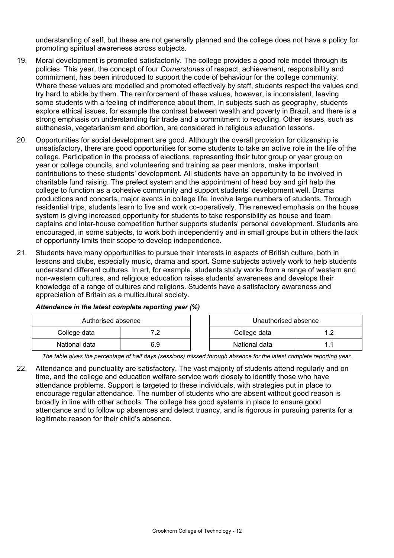understanding of self, but these are not generally planned and the college does not have a policy for promoting spiritual awareness across subjects.

- 19. Moral development is promoted satisfactorily. The college provides a good role model through its policies. This year, the concept of four *Cornerstones* of respect, achievement, responsibility and commitment, has been introduced to support the code of behaviour for the college community. Where these values are modelled and promoted effectively by staff, students respect the values and try hard to abide by them. The reinforcement of these values, however, is inconsistent, leaving some students with a feeling of indifference about them. In subjects such as geography, students explore ethical issues, for example the contrast between wealth and poverty in Brazil, and there is a strong emphasis on understanding fair trade and a commitment to recycling. Other issues, such as euthanasia, vegetarianism and abortion, are considered in religious education lessons.
- 20. Opportunities for social development are good. Although the overall provision for citizenship is unsatisfactory, there are good opportunities for some students to take an active role in the life of the college. Participation in the process of elections, representing their tutor group or year group on year or college councils, and volunteering and training as peer mentors, make important contributions to these students' development. All students have an opportunity to be involved in charitable fund raising. The prefect system and the appointment of head boy and girl help the college to function as a cohesive community and support students' development well. Drama productions and concerts, major events in college life, involve large numbers of students. Through residential trips, students learn to live and work co-operatively. The renewed emphasis on the house system is giving increased opportunity for students to take responsibility as house and team captains and inter-house competition further supports students' personal development. Students are encouraged, in some subjects, to work both independently and in small groups but in others the lack of opportunity limits their scope to develop independence.
- 21. Students have many opportunities to pursue their interests in aspects of British culture, both in lessons and clubs, especially music, drama and sport. Some subjects actively work to help students understand different cultures. In art, for example, students study works from a range of western and non-western cultures, and religious education raises students' awareness and develops their knowledge of a range of cultures and religions. Students have a satisfactory awareness and appreciation of Britain as a multicultural society.

| Authorised absence |            | Unauthorised absence |  |
|--------------------|------------|----------------------|--|
| College data       | , ,<br>. . | College data         |  |
| National data      | 6.9        | National data        |  |

### *Attendance in the latest complete reporting year (%)*

*The table gives the percentage of half days (sessions) missed through absence for the latest complete reporting year.*

22. Attendance and punctuality are satisfactory. The vast majority of students attend regularly and on time, and the college and education welfare service work closely to identify those who have attendance problems. Support is targeted to these individuals, with strategies put in place to encourage regular attendance. The number of students who are absent without good reason is broadly in line with other schools. The college has good systems in place to ensure good attendance and to follow up absences and detect truancy, and is rigorous in pursuing parents for a legitimate reason for their child's absence.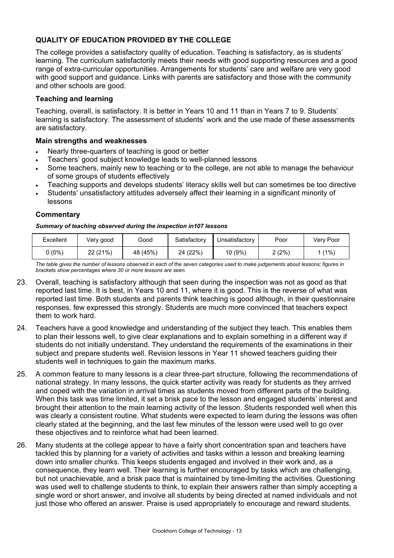## **QUALITY OF EDUCATION PROVIDED BY THE COLLEGE**

The college provides a satisfactory quality of education. Teaching is satisfactory, as is students' learning. The curriculum satisfactorily meets their needs with good supporting resources and a good range of extra-curricular opportunities. Arrangements for students' care and welfare are very good with good support and quidance. Links with parents are satisfactory and those with the community and other schools are good.

### **Teaching and learning**

Teaching, overall, is satisfactory. It is better in Years 10 and 11 than in Years 7 to 9. Students' learning is satisfactory. The assessment of students' work and the use made of these assessments are satisfactory.

#### **Main strengths and weaknesses**

- Nearly three-quarters of teaching is good or better
- Teachers' good subject knowledge leads to well-planned lessons
- Some teachers, mainly new to teaching or to the college, are not able to manage the behaviour of some groups of students effectively
- Teaching supports and develops students' literacy skills well but can sometimes be too directive
- Students' unsatisfactory attitudes adversely affect their learning in a significant minority of lessons

#### **Commentary**

#### *Summary of teaching observed during the inspection in107 lessons*

| Excellent | Very good | Good     | Satisfactory | Jnsatisfactory | Poor  | Verv Poor |
|-----------|-----------|----------|--------------|----------------|-------|-----------|
| ບ (0%) -  | 22 (21%)  | 48 (45%) | 24 (22%)     | $10(9\%)$      | 2(2%) | $(1\%$    |

*The table gives the number of lessons observed in each of the seven categories used to make judgements about lessons; figures in brackets show percentages where 30 or more lessons are seen.* 

- 23. Overall, teaching is satisfactory although that seen during the inspection was not as good as that reported last time. It is best, in Years 10 and 11, where it is good. This is the reverse of what was reported last time. Both students and parents think teaching is good although, in their questionnaire responses, few expressed this strongly. Students are much more convinced that teachers expect them to work hard.
- 24. Teachers have a good knowledge and understanding of the subject they teach. This enables them to plan their lessons well, to give clear explanations and to explain something in a different way if students do not initially understand. They understand the requirements of the examinations in their subject and prepare students well. Revision lessons in Year 11 showed teachers guiding their students well in techniques to gain the maximum marks.
- 25. A common feature to many lessons is a clear three-part structure, following the recommendations of national strategy. In many lessons, the quick starter activity was ready for students as they arrived and coped with the variation in arrival times as students moved from different parts of the building. When this task was time limited, it set a brisk pace to the lesson and engaged students' interest and brought their attention to the main learning activity of the lesson. Students responded well when this was clearly a consistent routine. What students were expected to learn during the lessons was often clearly stated at the beginning, and the last few minutes of the lesson were used well to go over these objectives and to reinforce what had been learned.
- 26. Many students at the college appear to have a fairly short concentration span and teachers have tackled this by planning for a variety of activities and tasks within a lesson and breaking learning down into smaller chunks. This keeps students engaged and involved in their work and, as a consequence, they learn well. Their learning is further encouraged by tasks which are challenging, but not unachievable, and a brisk pace that is maintained by time-limiting the activities. Questioning was used well to challenge students to think, to explain their answers rather than simply accepting a single word or short answer, and involve all students by being directed at named individuals and not just those who offered an answer. Praise is used appropriately to encourage and reward students.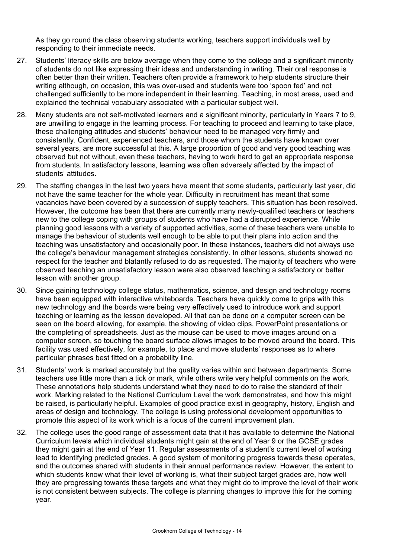As they go round the class observing students working, teachers support individuals well by responding to their immediate needs.

- 27. Students' literacy skills are below average when they come to the college and a significant minority of students do not like expressing their ideas and understanding in writing. Their oral response is often better than their written. Teachers often provide a framework to help students structure their writing although, on occasion, this was over-used and students were too 'spoon fed' and not challenged sufficiently to be more independent in their learning. Teaching, in most areas, used and explained the technical vocabulary associated with a particular subject well.
- 28. Many students are not self-motivated learners and a significant minority, particularly in Years 7 to 9, are unwilling to engage in the learning process. For teaching to proceed and learning to take place, these challenging attitudes and students' behaviour need to be managed very firmly and consistently. Confident, experienced teachers, and those whom the students have known over several years, are more successful at this. A large proportion of good and very good teaching was observed but not without, even these teachers, having to work hard to get an appropriate response from students. In satisfactory lessons, learning was often adversely affected by the impact of students' attitudes.
- 29. The staffing changes in the last two years have meant that some students, particularly last year, did not have the same teacher for the whole year. Difficulty in recruitment has meant that some vacancies have been covered by a succession of supply teachers. This situation has been resolved. However, the outcome has been that there are currently many newly-qualified teachers or teachers new to the college coping with groups of students who have had a disrupted experience. While planning good lessons with a variety of supported activities, some of these teachers were unable to manage the behaviour of students well enough to be able to put their plans into action and the teaching was unsatisfactory and occasionally poor. In these instances, teachers did not always use the college's behaviour management strategies consistently. In other lessons, students showed no respect for the teacher and blatantly refused to do as requested. The majority of teachers who were observed teaching an unsatisfactory lesson were also observed teaching a satisfactory or better lesson with another group.
- 30. Since gaining technology college status, mathematics, science, and design and technology rooms have been equipped with interactive whiteboards. Teachers have quickly come to grips with this new technology and the boards were being very effectively used to introduce work and support teaching or learning as the lesson developed. All that can be done on a computer screen can be seen on the board allowing, for example, the showing of video clips, PowerPoint presentations or the completing of spreadsheets. Just as the mouse can be used to move images around on a computer screen, so touching the board surface allows images to be moved around the board. This facility was used effectively, for example, to place and move students' responses as to where particular phrases best fitted on a probability line.
- 31. Students' work is marked accurately but the quality varies within and between departments. Some teachers use little more than a tick or mark, while others write very helpful comments on the work. These annotations help students understand what they need to do to raise the standard of their work. Marking related to the National Curriculum Level the work demonstrates, and how this might be raised, is particularly helpful. Examples of good practice exist in geography, history, English and areas of design and technology. The college is using professional development opportunities to promote this aspect of its work which is a focus of the current improvement plan.
- 32. The college uses the good range of assessment data that it has available to determine the National Curriculum levels which individual students might gain at the end of Year 9 or the GCSE grades they might gain at the end of Year 11. Regular assessments of a student's current level of working lead to identifying predicted grades. A good system of monitoring progress towards these operates, and the outcomes shared with students in their annual performance review. However, the extent to which students know what their level of working is, what their subject target grades are, how well they are progressing towards these targets and what they might do to improve the level of their work is not consistent between subjects. The college is planning changes to improve this for the coming year.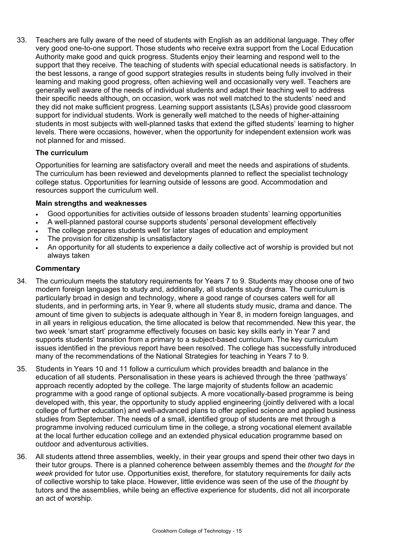33. Teachers are fully aware of the need of students with English as an additional language. They offer very good one-to-one support. Those students who receive extra support from the Local Education Authority make good and quick progress. Students enjoy their learning and respond well to the support that they receive. The teaching of students with special educational needs is satisfactory. In the best lessons, a range of good support strategies results in students being fully involved in their learning and making good progress, often achieving well and occasionally very well. Teachers are generally well aware of the needs of individual students and adapt their teaching well to address their specific needs although, on occasion, work was not well matched to the students' need and they did not make sufficient progress. Learning support assistants (LSAs) provide good classroom support for individual students. Work is generally well matched to the needs of higher-attaining students in most subjects with well-planned tasks that extend the gifted students' learning to higher levels. There were occasions, however, when the opportunity for independent extension work was not planned for and missed.

### **The curriculum**

Opportunities for learning are satisfactory overall and meet the needs and aspirations of students. The curriculum has been reviewed and developments planned to reflect the specialist technology college status. Opportunities for learning outside of lessons are good. Accommodation and resources support the curriculum well.

### **Main strengths and weaknesses**

- Good opportunities for activities outside of lessons broaden students' learning opportunities
- A well-planned pastoral course supports students' personal development effectively
- The college prepares students well for later stages of education and employment
- The provision for citizenship is unsatisfactory
- An opportunity for all students to experience a daily collective act of worship is provided but not always taken

- 34. The curriculum meets the statutory requirements for Years 7 to 9. Students may choose one of two modern foreign languages to study and, additionally, all students study drama. The curriculum is particularly broad in design and technology, where a good range of courses caters well for all students, and in performing arts, in Year 9, where all students study music, drama and dance. The amount of time given to subjects is adequate although in Year 8, in modern foreign languages, and in all years in religious education, the time allocated is below that recommended. New this year, the two week 'smart start' programme effectively focuses on basic key skills early in Year 7 and supports students' transition from a primary to a subject-based curriculum. The key curriculum issues identified in the previous report have been resolved. The college has successfully introduced many of the recommendations of the National Strategies for teaching in Years 7 to 9.
- 35. Students in Years 10 and 11 follow a curriculum which provides breadth and balance in the education of all students. Personalisation in these years is achieved through the three 'pathways' approach recently adopted by the college. The large majority of students follow an academic programme with a good range of optional subjects. A more vocationally-based programme is being developed with, this year, the opportunity to study applied engineering (jointly delivered with a local college of further education) and well-advanced plans to offer applied science and applied business studies from September. The needs of a small, identified group of students are met through a programme involving reduced curriculum time in the college, a strong vocational element available at the local further education college and an extended physical education programme based on outdoor and adventurous activities.
- 36. All students attend three assemblies, weekly, in their year groups and spend their other two days in their tutor groups. There is a planned coherence between assembly themes and the *thought for the week* provided for tutor use. Opportunities exist, therefore, for statutory requirements for daily acts of collective worship to take place. However, little evidence was seen of the use of the *thought* by tutors and the assemblies, while being an effective experience for students, did not all incorporate an act of worship.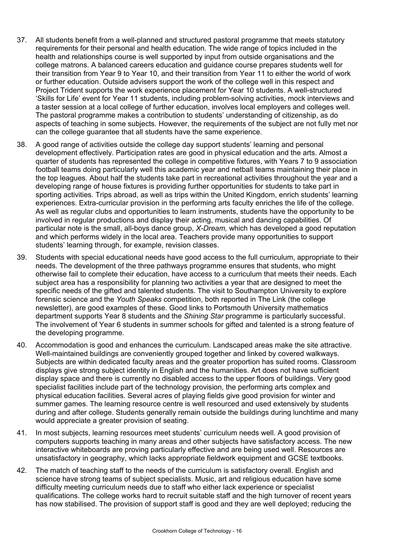- 37. All students benefit from a well-planned and structured pastoral programme that meets statutory requirements for their personal and health education. The wide range of topics included in the health and relationships course is well supported by input from outside organisations and the college matrons. A balanced careers education and guidance course prepares students well for their transition from Year 9 to Year 10, and their transition from Year 11 to either the world of work or further education. Outside advisers support the work of the college well in this respect and Project Trident supports the work experience placement for Year 10 students. A well-structured 'Skills for Life' event for Year 11 students, including problem-solving activities, mock interviews and a taster session at a local college of further education, involves local employers and colleges well. The pastoral programme makes a contribution to students' understanding of citizenship, as do aspects of teaching in some subjects. However, the requirements of the subject are not fully met nor can the college guarantee that all students have the same experience.
- 38. A good range of activities outside the college day support students' learning and personal development effectively. Participation rates are good in physical education and the arts. Almost a quarter of students has represented the college in competitive fixtures, with Years 7 to 9 association football teams doing particularly well this academic year and netball teams maintaining their place in the top leagues. About half the students take part in recreational activities throughout the year and a developing range of house fixtures is providing further opportunities for students to take part in sporting activities. Trips abroad, as well as trips within the United Kingdom, enrich students' learning experiences. Extra-curricular provision in the performing arts faculty enriches the life of the college. As well as regular clubs and opportunities to learn instruments, students have the opportunity to be involved in regular productions and display their acting, musical and dancing capabilities. Of particular note is the small, all-boys dance group, *X-Dream,* which has developed a good reputation and which performs widely in the local area. Teachers provide many opportunities to support students' learning through, for example, revision classes.
- 39. Students with special educational needs have good access to the full curriculum, appropriate to their needs. The development of the three pathways programme ensures that students, who might otherwise fail to complete their education, have access to a curriculum that meets their needs. Each subject area has a responsibility for planning two activities a year that are designed to meet the specific needs of the gifted and talented students. The visit to Southampton University to explore forensic science and the *Youth Speaks* competition, both reported in The Link (the college newsletter), are good examples of these. Good links to Portsmouth University mathematics department supports Year 8 students and the *Shining Star* programme is particularly successful. The involvement of Year 6 students in summer schools for gifted and talented is a strong feature of the developing programme.
- 40. Accommodation is good and enhances the curriculum. Landscaped areas make the site attractive. Well-maintained buildings are conveniently grouped together and linked by covered walkways. Subjects are within dedicated faculty areas and the greater proportion has suited rooms. Classroom displays give strong subject identity in English and the humanities. Art does not have sufficient display space and there is currently no disabled access to the upper floors of buildings. Very good specialist facilities include part of the technology provision, the performing arts complex and physical education facilities. Several acres of playing fields give good provision for winter and summer games. The learning resource centre is well resourced and used extensively by students during and after college. Students generally remain outside the buildings during lunchtime and many would appreciate a greater provision of seating.
- 41. In most subjects, learning resources meet students' curriculum needs well. A good provision of computers supports teaching in many areas and other subjects have satisfactory access. The new interactive whiteboards are proving particularly effective and are being used well. Resources are unsatisfactory in geography, which lacks appropriate fieldwork equipment and GCSE textbooks.
- 42. The match of teaching staff to the needs of the curriculum is satisfactory overall. English and science have strong teams of subject specialists. Music, art and religious education have some difficulty meeting curriculum needs due to staff who either lack experience or specialist qualifications. The college works hard to recruit suitable staff and the high turnover of recent years has now stabilised. The provision of support staff is good and they are well deployed; reducing the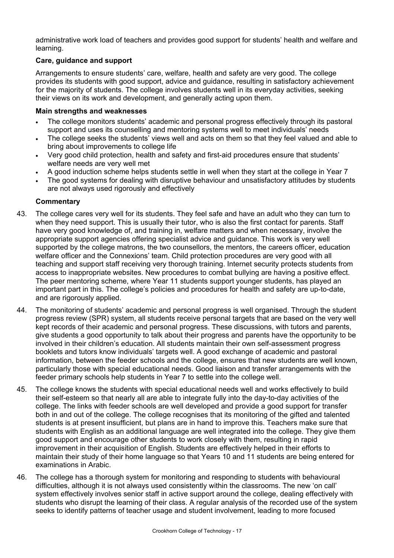administrative work load of teachers and provides good support for students' health and welfare and learning.

### **Care, guidance and support**

Arrangements to ensure students' care, welfare, health and safety are very good. The college provides its students with good support, advice and guidance, resulting in satisfactory achievement for the majority of students. The college involves students well in its everyday activities, seeking their views on its work and development, and generally acting upon them.

### **Main strengths and weaknesses**

- The college monitors students' academic and personal progress effectively through its pastoral support and uses its counselling and mentoring systems well to meet individuals' needs
- The college seeks the students' views well and acts on them so that they feel valued and able to bring about improvements to college life
- Very good child protection, health and safety and first-aid procedures ensure that students' welfare needs are very well met
- A good induction scheme helps students settle in well when they start at the college in Year 7
- The good systems for dealing with disruptive behaviour and unsatisfactory attitudes by students are not always used rigorously and effectively

- 43. The college cares very well for its students. They feel safe and have an adult who they can turn to when they need support. This is usually their tutor, who is also the first contact for parents. Staff have very good knowledge of, and training in, welfare matters and when necessary, involve the appropriate support agencies offering specialist advice and guidance. This work is very well supported by the college matrons, the two counsellors, the mentors, the careers officer, education welfare officer and the Connexions' team. Child protection procedures are very good with all teaching and support staff receiving very thorough training. Internet security protects students from access to inappropriate websites. New procedures to combat bullying are having a positive effect. The peer mentoring scheme, where Year 11 students support younger students, has played an important part in this. The college's policies and procedures for health and safety are up-to-date, and are rigorously applied.
- 44. The monitoring of students' academic and personal progress is well organised. Through the student progress review (SPR) system, all students receive personal targets that are based on the very well kept records of their academic and personal progress. These discussions, with tutors and parents, give students a good opportunity to talk about their progress and parents have the opportunity to be involved in their children's education. All students maintain their own self-assessment progress booklets and tutors know individuals' targets well. A good exchange of academic and pastoral information, between the feeder schools and the college, ensures that new students are well known, particularly those with special educational needs. Good liaison and transfer arrangements with the feeder primary schools help students in Year 7 to settle into the college well.
- 45. The college knows the students with special educational needs well and works effectively to build their self-esteem so that nearly all are able to integrate fully into the day-to-day activities of the college. The links with feeder schools are well developed and provide a good support for transfer both in and out of the college. The college recognises that its monitoring of the gifted and talented students is at present insufficient, but plans are in hand to improve this. Teachers make sure that students with English as an additional language are well integrated into the college. They give them good support and encourage other students to work closely with them, resulting in rapid improvement in their acquisition of English. Students are effectively helped in their efforts to maintain their study of their home language so that Years 10 and 11 students are being entered for examinations in Arabic.
- 46. The college has a thorough system for monitoring and responding to students with behavioural difficulties, although it is not always used consistently within the classrooms. The new 'on call' system effectively involves senior staff in active support around the college, dealing effectively with students who disrupt the learning of their class. A regular analysis of the recorded use of the system seeks to identify patterns of teacher usage and student involvement, leading to more focused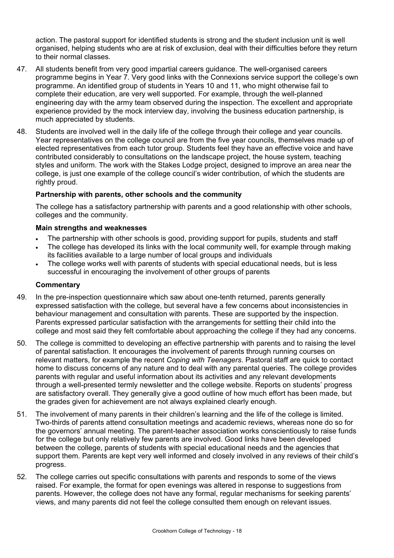action. The pastoral support for identified students is strong and the student inclusion unit is well organised, helping students who are at risk of exclusion, deal with their difficulties before they return to their normal classes.

- 47. All students benefit from very good impartial careers guidance. The well-organised careers programme begins in Year 7. Very good links with the Connexions service support the college's own programme. An identified group of students in Years 10 and 11, who might otherwise fail to complete their education, are very well supported. For example, through the well-planned engineering day with the army team observed during the inspection. The excellent and appropriate experience provided by the mock interview day, involving the business education partnership, is much appreciated by students.
- 48. Students are involved well in the daily life of the college through their college and year councils. Year representatives on the college council are from the five year councils, themselves made up of elected representatives from each tutor group. Students feel they have an effective voice and have contributed considerably to consultations on the landscape project, the house system, teaching styles and uniform. The work with the Stakes Lodge project, designed to improve an area near the college, is just one example of the college council's wider contribution, of which the students are rightly proud.

### **Partnership with parents, other schools and the community**

The college has a satisfactory partnership with parents and a good relationship with other schools, colleges and the community.

### **Main strengths and weaknesses**

- The partnership with other schools is good, providing support for pupils, students and staff
- The college has developed its links with the local community well, for example through making its facilities available to a large number of local groups and individuals
- The college works well with parents of students with special educational needs, but is less successful in encouraging the involvement of other groups of parents

- 49. In the pre-inspection questionnaire which saw about one-tenth returned, parents generally expressed satisfaction with the college, but several have a few concerns about inconsistencies in behaviour management and consultation with parents. These are supported by the inspection. Parents expressed particular satisfaction with the arrangements for settling their child into the college and most said they felt comfortable about approaching the college if they had any concerns.
- 50. The college is committed to developing an effective partnership with parents and to raising the level of parental satisfaction. It encourages the involvement of parents through running courses on relevant matters, for example the recent *Coping with Teenagers*. Pastoral staff are quick to contact home to discuss concerns of any nature and to deal with any parental queries. The college provides parents with regular and useful information about its activities and any relevant developments through a well-presented termly newsletter and the college website. Reports on students' progress are satisfactory overall. They generally give a good outline of how much effort has been made, but the grades given for achievement are not always explained clearly enough.
- 51. The involvement of many parents in their children's learning and the life of the college is limited. Two-thirds of parents attend consultation meetings and academic reviews, whereas none do so for the governors' annual meeting. The parent-teacher association works conscientiously to raise funds for the college but only relatively few parents are involved. Good links have been developed between the college, parents of students with special educational needs and the agencies that support them. Parents are kept very well informed and closely involved in any reviews of their child's progress.
- 52. The college carries out specific consultations with parents and responds to some of the views raised. For example, the format for open evenings was altered in response to suggestions from parents. However, the college does not have any formal, regular mechanisms for seeking parents' views, and many parents did not feel the college consulted them enough on relevant issues.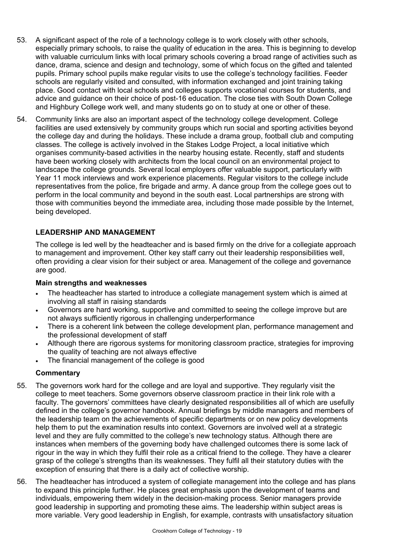- 53. A significant aspect of the role of a technology college is to work closely with other schools, especially primary schools, to raise the quality of education in the area. This is beginning to develop with valuable curriculum links with local primary schools covering a broad range of activities such as dance, drama, science and design and technology, some of which focus on the gifted and talented pupils. Primary school pupils make regular visits to use the college's technology facilities. Feeder schools are regularly visited and consulted, with information exchanged and joint training taking place. Good contact with local schools and colleges supports vocational courses for students, and advice and guidance on their choice of post-16 education. The close ties with South Down College and Highbury College work well, and many students go on to study at one or other of these.
- 54. Community links are also an important aspect of the technology college development. College facilities are used extensively by community groups which run social and sporting activities beyond the college day and during the holidays. These include a drama group, football club and computing classes. The college is actively involved in the Stakes Lodge Project, a local initiative which organises community-based activities in the nearby housing estate. Recently, staff and students have been working closely with architects from the local council on an environmental project to landscape the college grounds. Several local employers offer valuable support, particularly with Year 11 mock interviews and work experience placements. Regular visitors to the college include representatives from the police, fire brigade and army. A dance group from the college goes out to perform in the local community and beyond in the south east. Local partnerships are strong with those with communities beyond the immediate area, including those made possible by the Internet, being developed.

### **LEADERSHIP AND MANAGEMENT**

The college is led well by the headteacher and is based firmly on the drive for a collegiate approach to management and improvement. Other key staff carry out their leadership responsibilities well, often providing a clear vision for their subject or area. Management of the college and governance are good.

#### **Main strengths and weaknesses**

- The headteacher has started to introduce a collegiate management system which is aimed at involving all staff in raising standards
- Governors are hard working, supportive and committed to seeing the college improve but are not always sufficiently rigorous in challenging underperformance
- There is a coherent link between the college development plan, performance management and the professional development of staff
- Although there are rigorous systems for monitoring classroom practice, strategies for improving the quality of teaching are not always effective
- The financial management of the college is good

- 55. The governors work hard for the college and are loyal and supportive. They regularly visit the college to meet teachers. Some governors observe classroom practice in their link role with a faculty. The governors' committees have clearly designated responsibilities all of which are usefully defined in the college's governor handbook. Annual briefings by middle managers and members of the leadership team on the achievements of specific departments or on new policy developments help them to put the examination results into context. Governors are involved well at a strategic level and they are fully committed to the college's new technology status. Although there are instances when members of the governing body have challenged outcomes there is some lack of rigour in the way in which they fulfil their role as a critical friend to the college. They have a clearer grasp of the college's strengths than its weaknesses. They fulfil all their statutory duties with the exception of ensuring that there is a daily act of collective worship.
- 56. The headteacher has introduced a system of collegiate management into the college and has plans to expand this principle further. He places great emphasis upon the development of teams and individuals, empowering them widely in the decision-making process. Senior managers provide good leadership in supporting and promoting these aims. The leadership within subject areas is more variable. Very good leadership in English, for example, contrasts with unsatisfactory situation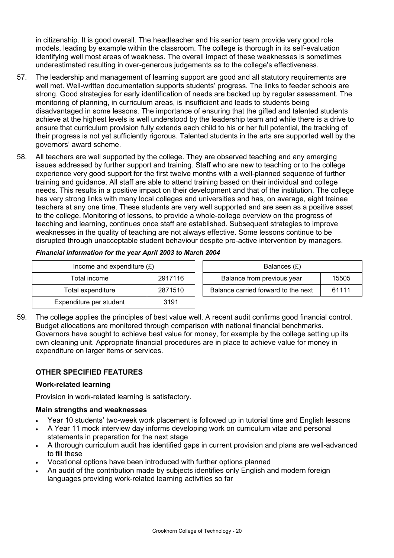in citizenship. It is good overall. The headteacher and his senior team provide very good role models, leading by example within the classroom. The college is thorough in its self-evaluation identifying well most areas of weakness. The overall impact of these weaknesses is sometimes underestimated resulting in over-generous judgements as to the college's effectiveness.

- 57. The leadership and management of learning support are good and all statutory requirements are well met. Well-written documentation supports students' progress. The links to feeder schools are strong. Good strategies for early identification of needs are backed up by regular assessment. The monitoring of planning, in curriculum areas, is insufficient and leads to students being disadvantaged in some lessons. The importance of ensuring that the gifted and talented students achieve at the highest levels is well understood by the leadership team and while there is a drive to ensure that curriculum provision fully extends each child to his or her full potential, the tracking of their progress is not yet sufficiently rigorous. Talented students in the arts are supported well by the governors' award scheme.
- 58. All teachers are well supported by the college. They are observed teaching and any emerging issues addressed by further support and training. Staff who are new to teaching or to the college experience very good support for the first twelve months with a well-planned sequence of further training and guidance. All staff are able to attend training based on their individual and college needs. This results in a positive impact on their development and that of the institution. The college has very strong links with many local colleges and universities and has, on average, eight trainee teachers at any one time. These students are very well supported and are seen as a positive asset to the college. Monitoring of lessons, to provide a whole-college overview on the progress of teaching and learning, continues once staff are established. Subsequent strategies to improve weaknesses in the quality of teaching are not always effective. Some lessons continue to be disrupted through unacceptable student behaviour despite pro-active intervention by managers.

| Income and expenditure $(E)$ |         | Balances (£)                                 |  |  |
|------------------------------|---------|----------------------------------------------|--|--|
| Total income                 | 2917116 | Balance from previous year<br>15505          |  |  |
| Total expenditure            | 2871510 | Balance carried forward to the next<br>61111 |  |  |
| Expenditure per student      | 3191    |                                              |  |  |

*Financial information for the year April 2003 to March 2004* 

59. The college applies the principles of best value well. A recent audit confirms good financial control. Budget allocations are monitored through comparison with national financial benchmarks. Governors have sought to achieve best value for money, for example by the college setting up its own cleaning unit. Appropriate financial procedures are in place to achieve value for money in expenditure on larger items or services.

# **OTHER SPECIFIED FEATURES**

# **Work-related learning**

Provision in work-related learning is satisfactory.

# **Main strengths and weaknesses**

- Year 10 students' two-week work placement is followed up in tutorial time and English lessons
- A Year 11 mock interview day informs developing work on curriculum vitae and personal statements in preparation for the next stage
- A thorough curriculum audit has identified gaps in current provision and plans are well-advanced to fill these
- Vocational options have been introduced with further options planned
- An audit of the contribution made by subjects identifies only English and modern foreign languages providing work-related learning activities so far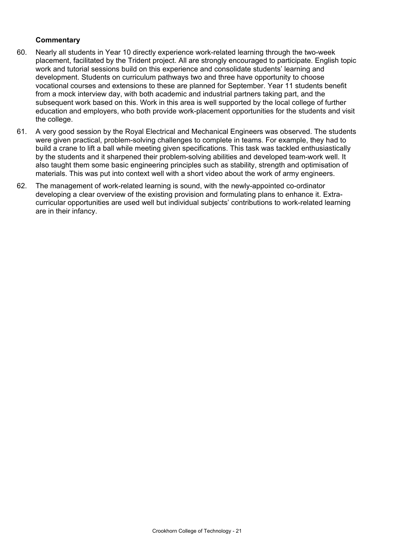- 60. Nearly all students in Year 10 directly experience work-related learning through the two-week placement, facilitated by the Trident project. All are strongly encouraged to participate. English topic work and tutorial sessions build on this experience and consolidate students' learning and development. Students on curriculum pathways two and three have opportunity to choose vocational courses and extensions to these are planned for September. Year 11 students benefit from a mock interview day, with both academic and industrial partners taking part, and the subsequent work based on this. Work in this area is well supported by the local college of further education and employers, who both provide work-placement opportunities for the students and visit the college.
- 61. A very good session by the Royal Electrical and Mechanical Engineers was observed. The students were given practical, problem-solving challenges to complete in teams. For example, they had to build a crane to lift a ball while meeting given specifications. This task was tackled enthusiastically by the students and it sharpened their problem-solving abilities and developed team-work well. It also taught them some basic engineering principles such as stability, strength and optimisation of materials. This was put into context well with a short video about the work of army engineers.
- 62. The management of work-related learning is sound, with the newly-appointed co-ordinator developing a clear overview of the existing provision and formulating plans to enhance it. Extracurricular opportunities are used well but individual subjects' contributions to work-related learning are in their infancy.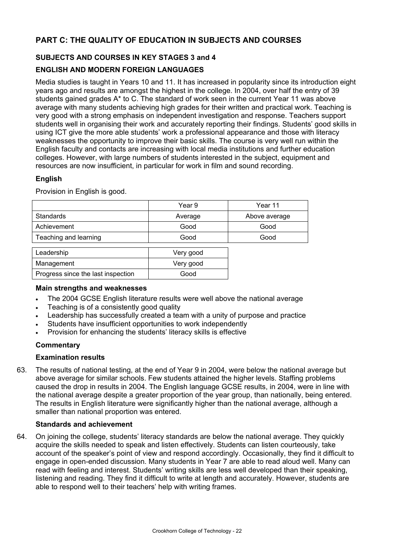# **PART C: THE QUALITY OF EDUCATION IN SUBJECTS AND COURSES**

### **SUBJECTS AND COURSES IN KEY STAGES 3 and 4**

### **ENGLISH AND MODERN FOREIGN LANGUAGES**

Media studies is taught in Years 10 and 11. It has increased in popularity since its introduction eight years ago and results are amongst the highest in the college. In 2004, over half the entry of 39 students gained grades A\* to C. The standard of work seen in the current Year 11 was above average with many students achieving high grades for their written and practical work. Teaching is very good with a strong emphasis on independent investigation and response. Teachers support students well in organising their work and accurately reporting their findings. Students' good skills in using ICT give the more able students' work a professional appearance and those with literacy weaknesses the opportunity to improve their basic skills. The course is very well run within the English faculty and contacts are increasing with local media institutions and further education colleges. However, with large numbers of students interested in the subject, equipment and resources are now insufficient, in particular for work in film and sound recording.

### **English**

Provision in English is good.

|                                    | Year 9    | Year 11       |
|------------------------------------|-----------|---------------|
| <b>Standards</b>                   | Average   | Above average |
| Achievement                        | Good      | Good          |
| Teaching and learning              | Good      | Good          |
|                                    |           |               |
| Leadership                         | Very good |               |
| Management                         | Very good |               |
| Progress since the last inspection | Good      |               |

### **Main strengths and weaknesses**

- The 2004 GCSE English literature results were well above the national average
- Teaching is of a consistently good quality
- Leadership has successfully created a team with a unity of purpose and practice
- Students have insufficient opportunities to work independently
- Provision for enhancing the students' literacy skills is effective

### **Commentary**

### **Examination results**

63. The results of national testing, at the end of Year 9 in 2004, were below the national average but above average for similar schools. Few students attained the higher levels. Staffing problems caused the drop in results in 2004. The English language GCSE results, in 2004, were in line with the national average despite a greater proportion of the year group, than nationally, being entered. The results in English literature were significantly higher than the national average, although a smaller than national proportion was entered.

#### **Standards and achievement**

64. On joining the college, students' literacy standards are below the national average. They quickly acquire the skills needed to speak and listen effectively. Students can listen courteously, take account of the speaker's point of view and respond accordingly. Occasionally, they find it difficult to engage in open-ended discussion. Many students in Year 7 are able to read aloud well. Many can read with feeling and interest. Students' writing skills are less well developed than their speaking, listening and reading. They find it difficult to write at length and accurately. However, students are able to respond well to their teachers' help with writing frames.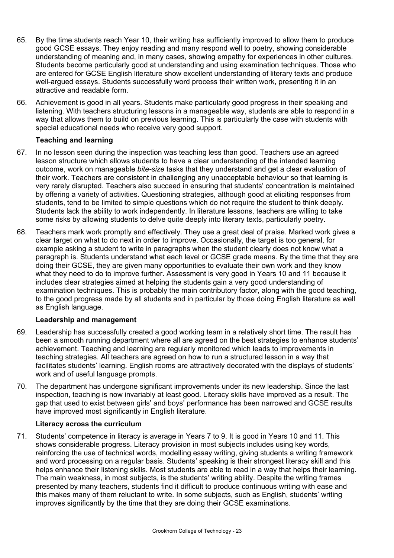- 65. By the time students reach Year 10, their writing has sufficiently improved to allow them to produce good GCSE essays. They enjoy reading and many respond well to poetry, showing considerable understanding of meaning and, in many cases, showing empathy for experiences in other cultures. Students become particularly good at understanding and using examination techniques. Those who are entered for GCSE English literature show excellent understanding of literary texts and produce well-argued essays. Students successfully word process their written work, presenting it in an attractive and readable form.
- 66. Achievement is good in all years. Students make particularly good progress in their speaking and listening. With teachers structuring lessons in a manageable way, students are able to respond in a way that allows them to build on previous learning. This is particularly the case with students with special educational needs who receive very good support.

### **Teaching and learning**

- 67. In no lesson seen during the inspection was teaching less than good. Teachers use an agreed lesson structure which allows students to have a clear understanding of the intended learning outcome, work on manageable *bite-size* tasks that they understand and get a clear evaluation of their work. Teachers are consistent in challenging any unacceptable behaviour so that learning is very rarely disrupted. Teachers also succeed in ensuring that students' concentration is maintained by offering a variety of activities. Questioning strategies, although good at eliciting responses from students, tend to be limited to simple questions which do not require the student to think deeply. Students lack the ability to work independently. In literature lessons, teachers are willing to take some risks by allowing students to delve quite deeply into literary texts, particularly poetry.
- 68. Teachers mark work promptly and effectively. They use a great deal of praise. Marked work gives a clear target on what to do next in order to improve. Occasionally, the target is too general, for example asking a student to write in paragraphs when the student clearly does not know what a paragraph is. Students understand what each level or GCSE grade means. By the time that they are doing their GCSE, they are given many opportunities to evaluate their own work and they know what they need to do to improve further. Assessment is very good in Years 10 and 11 because it includes clear strategies aimed at helping the students gain a very good understanding of examination techniques. This is probably the main contributory factor, along with the good teaching, to the good progress made by all students and in particular by those doing English literature as well as English language.

## **Leadership and management**

- 69. Leadership has successfully created a good working team in a relatively short time. The result has been a smooth running department where all are agreed on the best strategies to enhance students' achievement. Teaching and learning are regularly monitored which leads to improvements in teaching strategies. All teachers are agreed on how to run a structured lesson in a way that facilitates students' learning. English rooms are attractively decorated with the displays of students' work and of useful language prompts.
- 70. The department has undergone significant improvements under its new leadership. Since the last inspection, teaching is now invariably at least good. Literacy skills have improved as a result. The gap that used to exist between girls' and boys' performance has been narrowed and GCSE results have improved most significantly in English literature.

### **Literacy across the curriculum**

71. Students' competence in literacy is average in Years 7 to 9. It is good in Years 10 and 11. This shows considerable progress. Literacy provision in most subjects includes using key words, reinforcing the use of technical words, modelling essay writing, giving students a writing framework and word processing on a regular basis. Students' speaking is their strongest literacy skill and this helps enhance their listening skills. Most students are able to read in a way that helps their learning. The main weakness, in most subjects, is the students' writing ability. Despite the writing frames presented by many teachers, students find it difficult to produce continuous writing with ease and this makes many of them reluctant to write. In some subjects, such as English, students' writing improves significantly by the time that they are doing their GCSE examinations.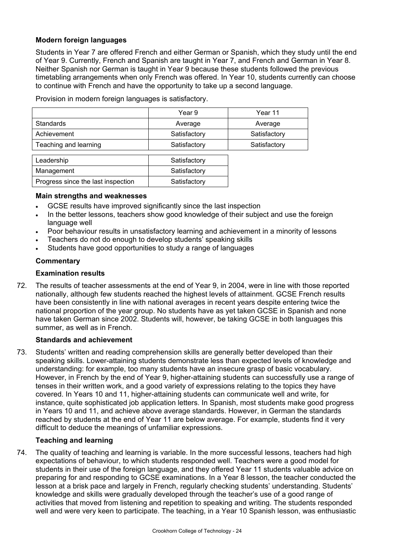### **Modern foreign languages**

Students in Year 7 are offered French and either German or Spanish, which they study until the end of Year 9. Currently, French and Spanish are taught in Year 7, and French and German in Year 8. Neither Spanish nor German is taught in Year 9 because these students followed the previous timetabling arrangements when only French was offered. In Year 10, students currently can choose to continue with French and have the opportunity to take up a second language.

Provision in modern foreign languages is satisfactory.

|                                    | Year 9       | Year 11      |
|------------------------------------|--------------|--------------|
| <b>Standards</b>                   | Average      | Average      |
| Achievement                        | Satisfactory | Satisfactory |
| Teaching and learning              | Satisfactory | Satisfactory |
| Leadership                         | Satisfactory |              |
| Management                         | Satisfactory |              |
|                                    | Satisfactory |              |
| Progress since the last inspection |              |              |

#### **Main strengths and weaknesses**

- GCSE results have improved significantly since the last inspection
- In the better lessons, teachers show good knowledge of their subject and use the foreign language well
- Poor behaviour results in unsatisfactory learning and achievement in a minority of lessons
- Teachers do not do enough to develop students' speaking skills
- Students have good opportunities to study a range of languages

### **Commentary**

#### **Examination results**

72. The results of teacher assessments at the end of Year 9, in 2004, were in line with those reported nationally, although few students reached the highest levels of attainment. GCSE French results have been consistently in line with national averages in recent years despite entering twice the national proportion of the year group. No students have as yet taken GCSE in Spanish and none have taken German since 2002. Students will, however, be taking GCSE in both languages this summer, as well as in French.

### **Standards and achievement**

73. Students' written and reading comprehension skills are generally better developed than their speaking skills. Lower-attaining students demonstrate less than expected levels of knowledge and understanding: for example, too many students have an insecure grasp of basic vocabulary. However, in French by the end of Year 9, higher-attaining students can successfully use a range of tenses in their written work, and a good variety of expressions relating to the topics they have covered. In Years 10 and 11, higher-attaining students can communicate well and write, for instance, quite sophisticated job application letters. In Spanish, most students make good progress in Years 10 and 11, and achieve above average standards. However, in German the standards reached by students at the end of Year 11 are below average. For example, students find it very difficult to deduce the meanings of unfamiliar expressions.

### **Teaching and learning**

74. The quality of teaching and learning is variable. In the more successful lessons, teachers had high expectations of behaviour, to which students responded well. Teachers were a good model for students in their use of the foreign language, and they offered Year 11 students valuable advice on preparing for and responding to GCSE examinations. In a Year 8 lesson, the teacher conducted the lesson at a brisk pace and largely in French, regularly checking students' understanding. Students' knowledge and skills were gradually developed through the teacher's use of a good range of activities that moved from listening and repetition to speaking and writing. The students responded well and were very keen to participate. The teaching, in a Year 10 Spanish lesson, was enthusiastic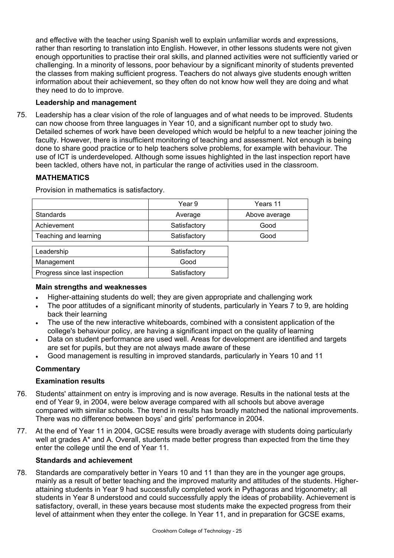and effective with the teacher using Spanish well to explain unfamiliar words and expressions, rather than resorting to translation into English. However, in other lessons students were not given enough opportunities to practise their oral skills, and planned activities were not sufficiently varied or challenging. In a minority of lessons, poor behaviour by a significant minority of students prevented the classes from making sufficient progress. Teachers do not always give students enough written information about their achievement, so they often do not know how well they are doing and what they need to do to improve.

### **Leadership and management**

75. Leadership has a clear vision of the role of languages and of what needs to be improved. Students can now choose from three languages in Year 10, and a significant number opt to study two. Detailed schemes of work have been developed which would be helpful to a new teacher joining the faculty. However, there is insufficient monitoring of teaching and assessment. Not enough is being done to share good practice or to help teachers solve problems, for example with behaviour. The use of ICT is underdeveloped. Although some issues highlighted in the last inspection report have been tackled, others have not, in particular the range of activities used in the classroom.

### **MATHEMATICS**

Provision in mathematics is satisfactory.

|                                | Year 9       | Years 11      |
|--------------------------------|--------------|---------------|
| <b>Standards</b>               | Average      | Above average |
| Achievement                    | Satisfactory | Good          |
| Teaching and learning          | Satisfactory | Good          |
|                                |              |               |
| Leadership                     | Satisfactory |               |
| Management                     | Good         |               |
| Progress since last inspection | Satisfactory |               |

### **Main strengths and weaknesses**

- Higher-attaining students do well; they are given appropriate and challenging work
- The poor attitudes of a significant minority of students, particularly in Years 7 to 9, are holding back their learning
- The use of the new interactive whiteboards, combined with a consistent application of the college's behaviour policy, are having a significant impact on the quality of learning
- Data on student performance are used well. Areas for development are identified and targets are set for pupils, but they are not always made aware of these
- Good management is resulting in improved standards, particularly in Years 10 and 11

## **Commentary**

### **Examination results**

- 76. Students' attainment on entry is improving and is now average. Results in the national tests at the end of Year 9, in 2004, were below average compared with all schools but above average compared with similar schools. The trend in results has broadly matched the national improvements. There was no difference between boys' and girls' performance in 2004.
- 77. At the end of Year 11 in 2004, GCSE results were broadly average with students doing particularly well at grades A<sup>\*</sup> and A. Overall, students made better progress than expected from the time they enter the college until the end of Year 11.

### **Standards and achievement**

78. Standards are comparatively better in Years 10 and 11 than they are in the younger age groups, mainly as a result of better teaching and the improved maturity and attitudes of the students. Higherattaining students in Year 9 had successfully completed work in Pythagoras and trigonometry; all students in Year 8 understood and could successfully apply the ideas of probability. Achievement is satisfactory, overall, in these years because most students make the expected progress from their level of attainment when they enter the college. In Year 11, and in preparation for GCSE exams,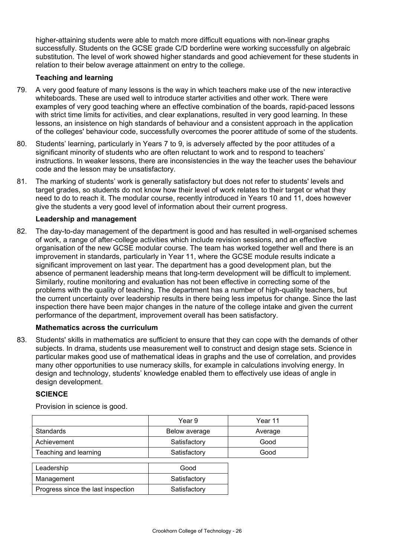higher-attaining students were able to match more difficult equations with non-linear graphs successfully. Students on the GCSE grade C/D borderline were working successfully on algebraic substitution. The level of work showed higher standards and good achievement for these students in relation to their below average attainment on entry to the college.

### **Teaching and learning**

- 79. A very good feature of many lessons is the way in which teachers make use of the new interactive whiteboards. These are used well to introduce starter activities and other work. There were examples of very good teaching where an effective combination of the boards, rapid-paced lessons with strict time limits for activities, and clear explanations, resulted in very good learning. In these lessons, an insistence on high standards of behaviour and a consistent approach in the application of the colleges' behaviour code, successfully overcomes the poorer attitude of some of the students.
- 80. Students' learning, particularly in Years 7 to 9, is adversely affected by the poor attitudes of a significant minority of students who are often reluctant to work and to respond to teachers' instructions. In weaker lessons, there are inconsistencies in the way the teacher uses the behaviour code and the lesson may be unsatisfactory.
- 81. The marking of students' work is generally satisfactory but does not refer to students' levels and target grades, so students do not know how their level of work relates to their target or what they need to do to reach it. The modular course, recently introduced in Years 10 and 11, does however give the students a very good level of information about their current progress.

### **Leadership and management**

82. The day-to-day management of the department is good and has resulted in well-organised schemes of work, a range of after-college activities which include revision sessions, and an effective organisation of the new GCSE modular course. The team has worked together well and there is an improvement in standards, particularly in Year 11, where the GCSE module results indicate a significant improvement on last year. The department has a good development plan, but the absence of permanent leadership means that long-term development will be difficult to implement. Similarly, routine monitoring and evaluation has not been effective in correcting some of the problems with the quality of teaching. The department has a number of high-quality teachers, but the current uncertainty over leadership results in there being less impetus for change. Since the last inspection there have been major changes in the nature of the college intake and given the current performance of the department, improvement overall has been satisfactory.

### **Mathematics across the curriculum**

83. Students' skills in mathematics are sufficient to ensure that they can cope with the demands of other subjects. In drama, students use measurement well to construct and design stage sets. Science in particular makes good use of mathematical ideas in graphs and the use of correlation, and provides many other opportunities to use numeracy skills, for example in calculations involving energy. In design and technology, students' knowledge enabled them to effectively use ideas of angle in design development.

### **SCIENCE**

|                                    | Year 9        | Year 11 |
|------------------------------------|---------------|---------|
| <b>Standards</b>                   | Below average | Average |
| Achievement                        | Satisfactory  | Good    |
| Teaching and learning              | Satisfactory  | Good    |
|                                    |               |         |
| Leadership                         | Good          |         |
| Management                         | Satisfactory  |         |
| Progress since the last inspection | Satisfactory  |         |

Provision in science is good.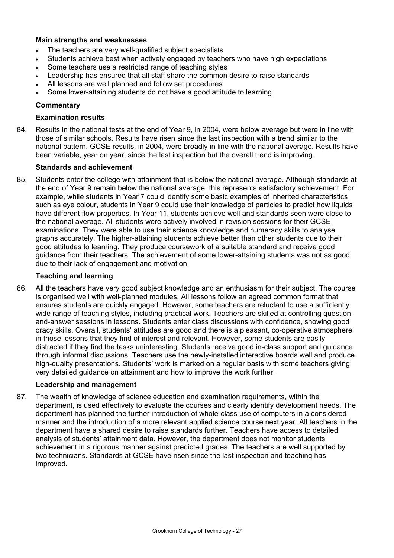### **Main strengths and weaknesses**

- The teachers are very well-qualified subject specialists
- Students achieve best when actively engaged by teachers who have high expectations
- Some teachers use a restricted range of teaching styles
- Leadership has ensured that all staff share the common desire to raise standards
- All lessons are well planned and follow set procedures
- Some lower-attaining students do not have a good attitude to learning

### **Commentary**

### **Examination results**

84. Results in the national tests at the end of Year 9, in 2004, were below average but were in line with those of similar schools. Results have risen since the last inspection with a trend similar to the national pattern. GCSE results, in 2004, were broadly in line with the national average. Results have been variable, year on year, since the last inspection but the overall trend is improving.

### **Standards and achievement**

85. Students enter the college with attainment that is below the national average. Although standards at the end of Year 9 remain below the national average, this represents satisfactory achievement. For example, while students in Year 7 could identify some basic examples of inherited characteristics such as eye colour, students in Year 9 could use their knowledge of particles to predict how liquids have different flow properties. In Year 11, students achieve well and standards seen were close to the national average. All students were actively involved in revision sessions for their GCSE examinations. They were able to use their science knowledge and numeracy skills to analyse graphs accurately. The higher-attaining students achieve better than other students due to their good attitudes to learning. They produce coursework of a suitable standard and receive good guidance from their teachers. The achievement of some lower-attaining students was not as good due to their lack of engagement and motivation.

### **Teaching and learning**

86. All the teachers have very good subject knowledge and an enthusiasm for their subject. The course is organised well with well-planned modules. All lessons follow an agreed common format that ensures students are quickly engaged. However, some teachers are reluctant to use a sufficiently wide range of teaching styles, including practical work. Teachers are skilled at controlling questionand-answer sessions in lessons. Students enter class discussions with confidence, showing good oracy skills. Overall, students' attitudes are good and there is a pleasant, co-operative atmosphere in those lessons that they find of interest and relevant. However, some students are easily distracted if they find the tasks uninteresting. Students receive good in-class support and guidance through informal discussions. Teachers use the newly-installed interactive boards well and produce high-quality presentations. Students' work is marked on a regular basis with some teachers giving very detailed guidance on attainment and how to improve the work further.

### **Leadership and management**

87. The wealth of knowledge of science education and examination requirements, within the department, is used effectively to evaluate the courses and clearly identify development needs. The department has planned the further introduction of whole-class use of computers in a considered manner and the introduction of a more relevant applied science course next year. All teachers in the department have a shared desire to raise standards further. Teachers have access to detailed analysis of students' attainment data. However, the department does not monitor students' achievement in a rigorous manner against predicted grades. The teachers are well supported by two technicians. Standards at GCSE have risen since the last inspection and teaching has improved.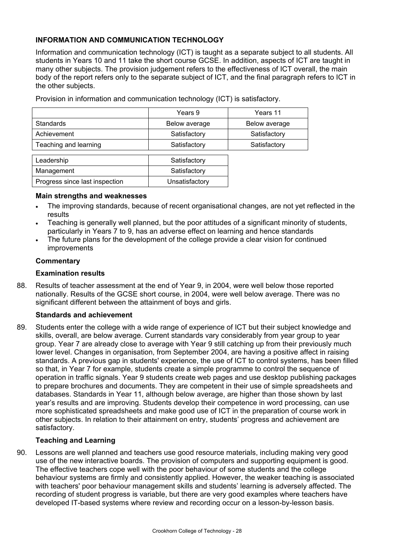### **INFORMATION AND COMMUNICATION TECHNOLOGY**

Information and communication technology (ICT) is taught as a separate subject to all students. All students in Years 10 and 11 take the short course GCSE. In addition, aspects of ICT are taught in many other subjects. The provision judgement refers to the effectiveness of ICT overall, the main body of the report refers only to the separate subject of ICT, and the final paragraph refers to ICT in the other subjects.

|                                | Years 9        | Years 11      |
|--------------------------------|----------------|---------------|
| <b>Standards</b>               | Below average  | Below average |
| Achievement                    | Satisfactory   | Satisfactory  |
| Teaching and learning          | Satisfactory   | Satisfactory  |
|                                |                |               |
| Leadership                     | Satisfactory   |               |
| Management                     | Satisfactory   |               |
| Progress since last inspection | Unsatisfactory |               |

Provision in information and communication technology (ICT) is satisfactory.

#### **Main strengths and weaknesses**

- The improving standards, because of recent organisational changes, are not yet reflected in the results
- Teaching is generally well planned, but the poor attitudes of a significant minority of students, particularly in Years 7 to 9, has an adverse effect on learning and hence standards
- The future plans for the development of the college provide a clear vision for continued improvements

#### **Commentary**

#### **Examination results**

88. Results of teacher assessment at the end of Year 9, in 2004, were well below those reported nationally. Results of the GCSE short course, in 2004, were well below average. There was no significant different between the attainment of boys and girls.

#### **Standards and achievement**

89. Students enter the college with a wide range of experience of ICT but their subject knowledge and skills, overall, are below average. Current standards vary considerably from year group to year group. Year 7 are already close to average with Year 9 still catching up from their previously much lower level. Changes in organisation, from September 2004, are having a positive affect in raising standards. A previous gap in students' experience, the use of ICT to control systems, has been filled so that, in Year 7 for example, students create a simple programme to control the sequence of operation in traffic signals. Year 9 students create web pages and use desktop publishing packages to prepare brochures and documents. They are competent in their use of simple spreadsheets and databases. Standards in Year 11, although below average, are higher than those shown by last year's results and are improving. Students develop their competence in word processing, can use more sophisticated spreadsheets and make good use of ICT in the preparation of course work in other subjects. In relation to their attainment on entry, students' progress and achievement are satisfactory.

#### **Teaching and Learning**

90. Lessons are well planned and teachers use good resource materials, including making very good use of the new interactive boards. The provision of computers and supporting equipment is good. The effective teachers cope well with the poor behaviour of some students and the college behaviour systems are firmly and consistently applied. However, the weaker teaching is associated with teachers' poor behaviour management skills and students' learning is adversely affected. The recording of student progress is variable, but there are very good examples where teachers have developed IT-based systems where review and recording occur on a lesson-by-lesson basis.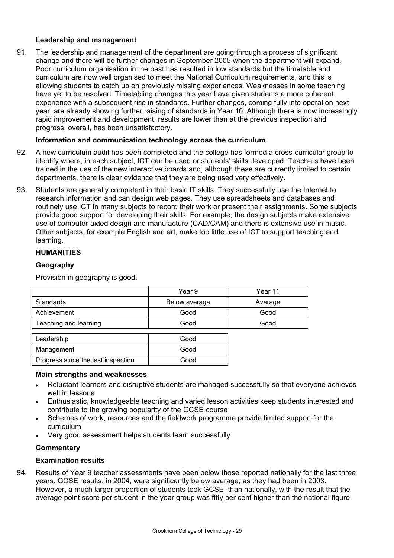### **Leadership and management**

91. The leadership and management of the department are going through a process of significant change and there will be further changes in September 2005 when the department will expand. Poor curriculum organisation in the past has resulted in low standards but the timetable and curriculum are now well organised to meet the National Curriculum requirements, and this is allowing students to catch up on previously missing experiences. Weaknesses in some teaching have yet to be resolved. Timetabling changes this year have given students a more coherent experience with a subsequent rise in standards. Further changes, coming fully into operation next year, are already showing further raising of standards in Year 10. Although there is now increasingly rapid improvement and development, results are lower than at the previous inspection and progress, overall, has been unsatisfactory.

### **Information and communication technology across the curriculum**

- 92. A new curriculum audit has been completed and the college has formed a cross-curricular group to identify where, in each subject, ICT can be used or students' skills developed. Teachers have been trained in the use of the new interactive boards and, although these are currently limited to certain departments, there is clear evidence that they are being used very effectively.
- 93. Students are generally competent in their basic IT skills. They successfully use the Internet to research information and can design web pages. They use spreadsheets and databases and routinely use ICT in many subjects to record their work or present their assignments. Some subjects provide good support for developing their skills. For example, the design subjects make extensive use of computer-aided design and manufacture (CAD/CAM) and there is extensive use in music. Other subjects, for example English and art, make too little use of ICT to support teaching and learning.

### **HUMANITIES**

### **Geography**

Provision in geography is good.

|                                      | Year 9               | Year 11 |
|--------------------------------------|----------------------|---------|
| Standards                            | Below average        | Average |
| Achievement                          | Good                 | Good    |
| Teaching and learning                | Good                 | Good    |
|                                      |                      |         |
| and the second control of the second | $\sim$ $\sim$ $\sim$ |         |

| Leadership                         | Good |
|------------------------------------|------|
| Management                         | Good |
| Progress since the last inspection | Good |

### **Main strengths and weaknesses**

- Reluctant learners and disruptive students are managed successfully so that everyone achieves well in lessons
- Enthusiastic, knowledgeable teaching and varied lesson activities keep students interested and contribute to the growing popularity of the GCSE course
- Schemes of work, resources and the fieldwork programme provide limited support for the curriculum
- Very good assessment helps students learn successfully

### **Commentary**

### **Examination results**

94. Results of Year 9 teacher assessments have been below those reported nationally for the last three years. GCSE results, in 2004, were significantly below average, as they had been in 2003. However, a much larger proportion of students took GCSE, than nationally, with the result that the average point score per student in the year group was fifty per cent higher than the national figure.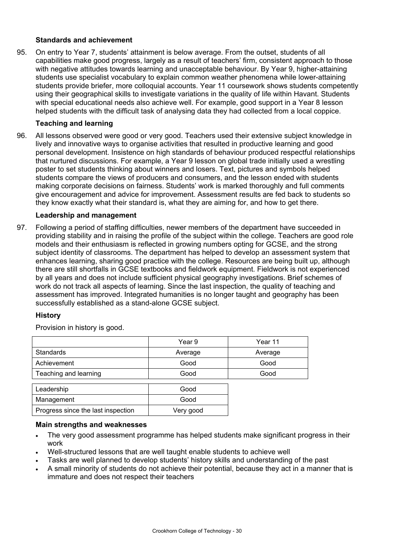### **Standards and achievement**

95. On entry to Year 7, students' attainment is below average. From the outset, students of all capabilities make good progress, largely as a result of teachers' firm, consistent approach to those with negative attitudes towards learning and unacceptable behaviour. By Year 9, higher-attaining students use specialist vocabulary to explain common weather phenomena while lower-attaining students provide briefer, more colloquial accounts. Year 11 coursework shows students competently using their geographical skills to investigate variations in the quality of life within Havant. Students with special educational needs also achieve well. For example, good support in a Year 8 lesson helped students with the difficult task of analysing data they had collected from a local coppice.

### **Teaching and learning**

96. All lessons observed were good or very good. Teachers used their extensive subject knowledge in lively and innovative ways to organise activities that resulted in productive learning and good personal development. Insistence on high standards of behaviour produced respectful relationships that nurtured discussions. For example, a Year 9 lesson on global trade initially used a wrestling poster to set students thinking about winners and losers. Text, pictures and symbols helped students compare the views of producers and consumers, and the lesson ended with students making corporate decisions on fairness. Students' work is marked thoroughly and full comments give encouragement and advice for improvement. Assessment results are fed back to students so they know exactly what their standard is, what they are aiming for, and how to get there.

### **Leadership and management**

97. Following a period of staffing difficulties, newer members of the department have succeeded in providing stability and in raising the profile of the subject within the college. Teachers are good role models and their enthusiasm is reflected in growing numbers opting for GCSE, and the strong subject identity of classrooms. The department has helped to develop an assessment system that enhances learning, sharing good practice with the college. Resources are being built up, although there are still shortfalls in GCSE textbooks and fieldwork equipment. Fieldwork is not experienced by all years and does not include sufficient physical geography investigations. Brief schemes of work do not track all aspects of learning. Since the last inspection, the quality of teaching and assessment has improved. Integrated humanities is no longer taught and geography has been successfully established as a stand-alone GCSE subject.

### **History**

Provision in history is good.

|                                    | Year 9    | Year 11 |
|------------------------------------|-----------|---------|
| <b>Standards</b>                   | Average   | Average |
| Achievement                        | Good      | Good    |
| Teaching and learning              | Good      | Good    |
|                                    |           |         |
| Leadership                         | Good      |         |
| Management                         | Good      |         |
| Progress since the last inspection | Very good |         |

### **Main strengths and weaknesses**

- The very good assessment programme has helped students make significant progress in their work
- Well-structured lessons that are well taught enable students to achieve well
- Tasks are well planned to develop students' history skills and understanding of the past
- A small minority of students do not achieve their potential, because they act in a manner that is immature and does not respect their teachers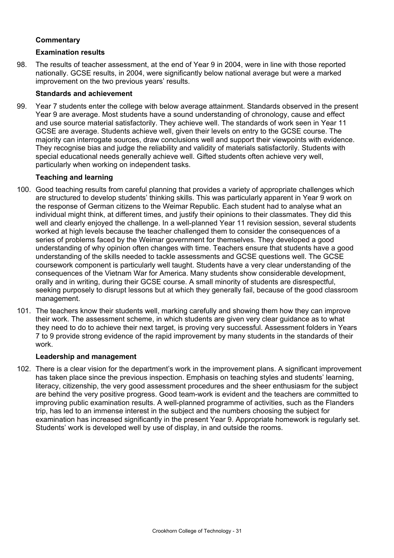### **Commentary**

### **Examination results**

98. The results of teacher assessment, at the end of Year 9 in 2004, were in line with those reported nationally. GCSE results, in 2004, were significantly below national average but were a marked improvement on the two previous years' results.

### **Standards and achievement**

99. Year 7 students enter the college with below average attainment. Standards observed in the present Year 9 are average. Most students have a sound understanding of chronology, cause and effect and use source material satisfactorily. They achieve well. The standards of work seen in Year 11 GCSE are average. Students achieve well, given their levels on entry to the GCSE course. The majority can interrogate sources, draw conclusions well and support their viewpoints with evidence. They recognise bias and judge the reliability and validity of materials satisfactorily. Students with special educational needs generally achieve well. Gifted students often achieve very well, particularly when working on independent tasks.

### **Teaching and learning**

- 100. Good teaching results from careful planning that provides a variety of appropriate challenges which are structured to develop students' thinking skills. This was particularly apparent in Year 9 work on the response of German citizens to the Weimar Republic. Each student had to analyse what an individual might think, at different times, and justify their opinions to their classmates. They did this well and clearly enjoyed the challenge. In a well-planned Year 11 revision session, several students worked at high levels because the teacher challenged them to consider the consequences of a series of problems faced by the Weimar government for themselves. They developed a good understanding of why opinion often changes with time. Teachers ensure that students have a good understanding of the skills needed to tackle assessments and GCSE questions well. The GCSE coursework component is particularly well taught. Students have a very clear understanding of the consequences of the Vietnam War for America. Many students show considerable development, orally and in writing, during their GCSE course. A small minority of students are disrespectful, seeking purposely to disrupt lessons but at which they generally fail, because of the good classroom management.
- 101. The teachers know their students well, marking carefully and showing them how they can improve their work. The assessment scheme, in which students are given very clear guidance as to what they need to do to achieve their next target, is proving very successful. Assessment folders in Years 7 to 9 provide strong evidence of the rapid improvement by many students in the standards of their work.

### **Leadership and management**

102. There is a clear vision for the department's work in the improvement plans. A significant improvement has taken place since the previous inspection. Emphasis on teaching styles and students' learning, literacy, citizenship, the very good assessment procedures and the sheer enthusiasm for the subject are behind the very positive progress. Good team-work is evident and the teachers are committed to improving public examination results. A well-planned programme of activities, such as the Flanders trip, has led to an immense interest in the subject and the numbers choosing the subject for examination has increased significantly in the present Year 9. Appropriate homework is regularly set. Students' work is developed well by use of display, in and outside the rooms.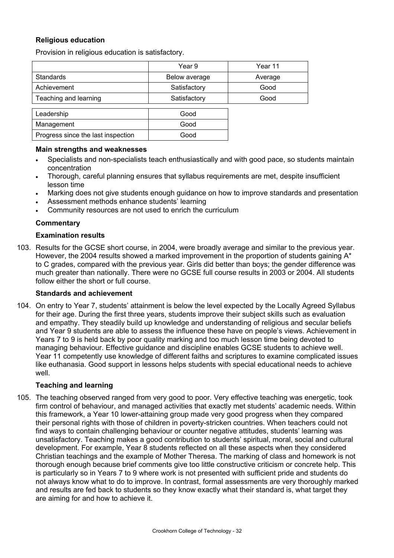### **Religious education**

Provision in religious education is satisfactory.

|                                    | Year 9        | Year 11 |
|------------------------------------|---------------|---------|
| <b>Standards</b>                   | Below average | Average |
| Achievement                        | Satisfactory  | Good    |
| Teaching and learning              | Satisfactory  | Good    |
| Leadership                         | Good          |         |
| Management                         | Good          |         |
| Progress since the last inspection | Good          |         |

#### **Main strengths and weaknesses**

- Specialists and non-specialists teach enthusiastically and with good pace, so students maintain concentration
- Thorough, careful planning ensures that syllabus requirements are met, despite insufficient lesson time
- Marking does not give students enough guidance on how to improve standards and presentation
- Assessment methods enhance students' learning
- Community resources are not used to enrich the curriculum

### **Commentary**

#### **Examination results**

103. Results for the GCSE short course, in 2004, were broadly average and similar to the previous year. However, the 2004 results showed a marked improvement in the proportion of students gaining  $A^*$ to C grades, compared with the previous year. Girls did better than boys; the gender difference was much greater than nationally. There were no GCSE full course results in 2003 or 2004. All students follow either the short or full course.

#### **Standards and achievement**

104. On entry to Year 7, students' attainment is below the level expected by the Locally Agreed Syllabus for their age. During the first three years, students improve their subject skills such as evaluation and empathy. They steadily build up knowledge and understanding of religious and secular beliefs and Year 9 students are able to assess the influence these have on people's views. Achievement in Years 7 to 9 is held back by poor quality marking and too much lesson time being devoted to managing behaviour. Effective guidance and discipline enables GCSE students to achieve well. Year 11 competently use knowledge of different faiths and scriptures to examine complicated issues like euthanasia. Good support in lessons helps students with special educational needs to achieve well.

### **Teaching and learning**

105. The teaching observed ranged from very good to poor. Very effective teaching was energetic, took firm control of behaviour, and managed activities that exactly met students' academic needs. Within this framework, a Year 10 lower-attaining group made very good progress when they compared their personal rights with those of children in poverty-stricken countries. When teachers could not find ways to contain challenging behaviour or counter negative attitudes, students' learning was unsatisfactory. Teaching makes a good contribution to students' spiritual, moral, social and cultural development. For example, Year 8 students reflected on all these aspects when they considered Christian teachings and the example of Mother Theresa. The marking of class and homework is not thorough enough because brief comments give too little constructive criticism or concrete help. This is particularly so in Years 7 to 9 where work is not presented with sufficient pride and students do not always know what to do to improve. In contrast, formal assessments are very thoroughly marked and results are fed back to students so they know exactly what their standard is, what target they are aiming for and how to achieve it.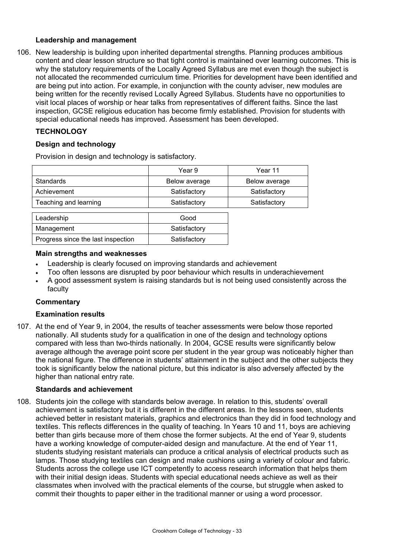### **Leadership and management**

106. New leadership is building upon inherited departmental strengths. Planning produces ambitious content and clear lesson structure so that tight control is maintained over learning outcomes. This is why the statutory requirements of the Locally Agreed Syllabus are met even though the subject is not allocated the recommended curriculum time. Priorities for development have been identified and are being put into action. For example, in conjunction with the county adviser, new modules are being written for the recently revised Locally Agreed Syllabus. Students have no opportunities to visit local places of worship or hear talks from representatives of different faiths. Since the last inspection, GCSE religious education has become firmly established. Provision for students with special educational needs has improved. Assessment has been developed.

### **TECHNOLOGY**

### **Design and technology**

Provision in design and technology is satisfactory.

|                                    | Year 9        | Year 11       |
|------------------------------------|---------------|---------------|
| <b>Standards</b>                   | Below average | Below average |
| Achievement                        | Satisfactory  | Satisfactory  |
| Teaching and learning              | Satisfactory  | Satisfactory  |
|                                    |               |               |
| Leadership                         | Good          |               |
| Management                         | Satisfactory  |               |
| Progress since the last inspection | Satisfactory  |               |

#### **Main strengths and weaknesses**

- Leadership is clearly focused on improving standards and achievement
- Too often lessons are disrupted by poor behaviour which results in underachievement
- A good assessment system is raising standards but is not being used consistently across the faculty

### **Commentary**

### **Examination results**

107. At the end of Year 9, in 2004, the results of teacher assessments were below those reported nationally. All students study for a qualification in one of the design and technology options compared with less than two-thirds nationally. In 2004, GCSE results were significantly below average although the average point score per student in the year group was noticeably higher than the national figure. The difference in students' attainment in the subject and the other subjects they took is significantly below the national picture, but this indicator is also adversely affected by the higher than national entry rate.

### **Standards and achievement**

108. Students join the college with standards below average. In relation to this, students' overall achievement is satisfactory but it is different in the different areas. In the lessons seen, students achieved better in resistant materials, graphics and electronics than they did in food technology and textiles. This reflects differences in the quality of teaching. In Years 10 and 11, boys are achieving better than girls because more of them chose the former subjects. At the end of Year 9, students have a working knowledge of computer-aided design and manufacture. At the end of Year 11, students studying resistant materials can produce a critical analysis of electrical products such as lamps. Those studying textiles can design and make cushions using a variety of colour and fabric. Students across the college use ICT competently to access research information that helps them with their initial design ideas. Students with special educational needs achieve as well as their classmates when involved with the practical elements of the course, but struggle when asked to commit their thoughts to paper either in the traditional manner or using a word processor.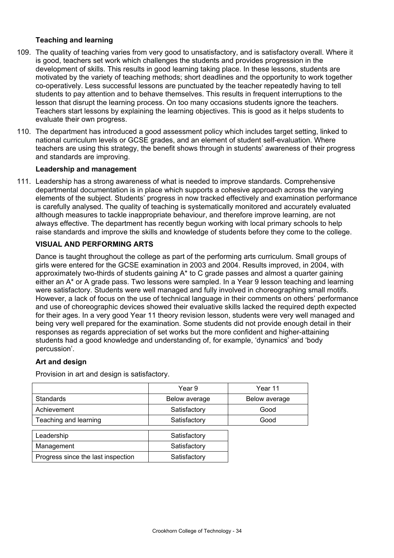### **Teaching and learning**

- 109. The quality of teaching varies from very good to unsatisfactory, and is satisfactory overall. Where it is good, teachers set work which challenges the students and provides progression in the development of skills. This results in good learning taking place. In these lessons, students are motivated by the variety of teaching methods; short deadlines and the opportunity to work together co-operatively. Less successful lessons are punctuated by the teacher repeatedly having to tell students to pay attention and to behave themselves. This results in frequent interruptions to the lesson that disrupt the learning process. On too many occasions students ignore the teachers. Teachers start lessons by explaining the learning objectives. This is good as it helps students to evaluate their own progress.
- 110. The department has introduced a good assessment policy which includes target setting, linked to national curriculum levels or GCSE grades, and an element of student self-evaluation. Where teachers are using this strategy, the benefit shows through in students' awareness of their progress and standards are improving.

### **Leadership and management**

111. Leadership has a strong awareness of what is needed to improve standards. Comprehensive departmental documentation is in place which supports a cohesive approach across the varying elements of the subject. Students' progress in now tracked effectively and examination performance is carefully analysed. The quality of teaching is systematically monitored and accurately evaluated although measures to tackle inappropriate behaviour, and therefore improve learning, are not always effective. The department has recently begun working with local primary schools to help raise standards and improve the skills and knowledge of students before they come to the college.

### **VISUAL AND PERFORMING ARTS**

Dance is taught throughout the college as part of the performing arts curriculum. Small groups of girls were entered for the GCSE examination in 2003 and 2004. Results improved, in 2004, with approximately two-thirds of students gaining A\* to C grade passes and almost a quarter gaining either an A\* or A grade pass. Two lessons were sampled. In a Year 9 lesson teaching and learning were satisfactory. Students were well managed and fully involved in choreographing small motifs. However, a lack of focus on the use of technical language in their comments on others' performance and use of choreographic devices showed their evaluative skills lacked the required depth expected for their ages. In a very good Year 11 theory revision lesson, students were very well managed and being very well prepared for the examination. Some students did not provide enough detail in their responses as regards appreciation of set works but the more confident and higher-attaining students had a good knowledge and understanding of, for example, 'dynamics' and 'body percussion'.

### **Art and design**

Provision in art and design is satisfactory.

|                                    | Year 9        | Year 11       |
|------------------------------------|---------------|---------------|
| <b>Standards</b>                   | Below average | Below average |
| Achievement                        | Satisfactory  | Good          |
| Teaching and learning              | Satisfactory  | Good          |
|                                    |               |               |
| Leadership                         | Satisfactory  |               |
| Management                         | Satisfactory  |               |
| Progress since the last inspection | Satisfactory  |               |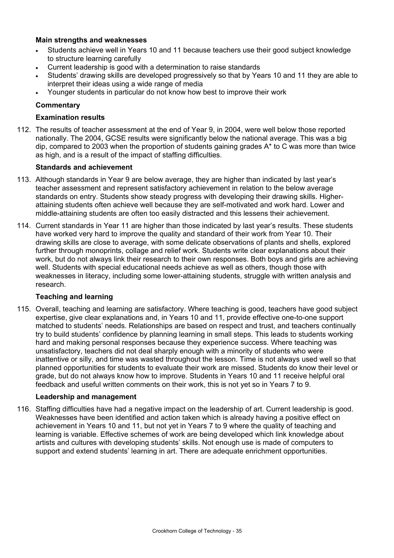### **Main strengths and weaknesses**

- Students achieve well in Years 10 and 11 because teachers use their good subject knowledge to structure learning carefully
- Current leadership is good with a determination to raise standards
- Students' drawing skills are developed progressively so that by Years 10 and 11 they are able to interpret their ideas using a wide range of media
- Younger students in particular do not know how best to improve their work

#### **Commentary**

#### **Examination results**

112. The results of teacher assessment at the end of Year 9, in 2004, were well below those reported nationally. The 2004, GCSE results were significantly below the national average. This was a big dip, compared to 2003 when the proportion of students gaining grades A\* to C was more than twice as high, and is a result of the impact of staffing difficulties.

#### **Standards and achievement**

- 113. Although standards in Year 9 are below average, they are higher than indicated by last year's teacher assessment and represent satisfactory achievement in relation to the below average standards on entry. Students show steady progress with developing their drawing skills. Higherattaining students often achieve well because they are self-motivated and work hard. Lower and middle-attaining students are often too easily distracted and this lessens their achievement.
- 114. Current standards in Year 11 are higher than those indicated by last year's results. These students have worked very hard to improve the quality and standard of their work from Year 10. Their drawing skills are close to average, with some delicate observations of plants and shells, explored further through monoprints, collage and relief work. Students write clear explanations about their work, but do not always link their research to their own responses. Both boys and girls are achieving well. Students with special educational needs achieve as well as others, though those with weaknesses in literacy, including some lower-attaining students, struggle with written analysis and research.

#### **Teaching and learning**

115. Overall, teaching and learning are satisfactory. Where teaching is good, teachers have good subject expertise, give clear explanations and, in Years 10 and 11, provide effective one-to-one support matched to students' needs. Relationships are based on respect and trust, and teachers continually try to build students' confidence by planning learning in small steps. This leads to students working hard and making personal responses because they experience success. Where teaching was unsatisfactory, teachers did not deal sharply enough with a minority of students who were inattentive or silly, and time was wasted throughout the lesson. Time is not always used well so that planned opportunities for students to evaluate their work are missed. Students do know their level or grade, but do not always know how to improve. Students in Years 10 and 11 receive helpful oral feedback and useful written comments on their work, this is not yet so in Years 7 to 9.

#### **Leadership and management**

116. Staffing difficulties have had a negative impact on the leadership of art. Current leadership is good. Weaknesses have been identified and action taken which is already having a positive effect on achievement in Years 10 and 11, but not yet in Years 7 to 9 where the quality of teaching and learning is variable. Effective schemes of work are being developed which link knowledge about artists and cultures with developing students' skills. Not enough use is made of computers to support and extend students' learning in art. There are adequate enrichment opportunities.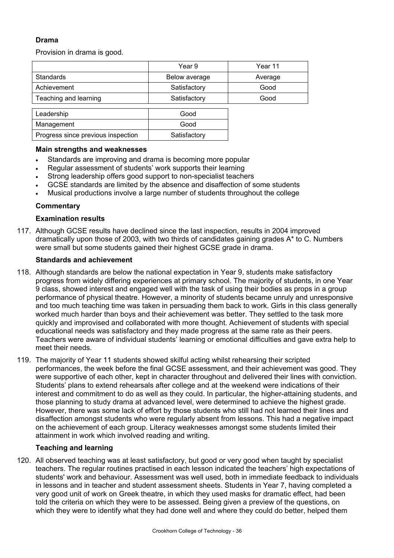## **Drama**

Provision in drama is good.

|                                    | Year 9        | Year 11 |
|------------------------------------|---------------|---------|
| <b>Standards</b>                   | Below average | Average |
| Achievement                        | Satisfactory  | Good    |
| Teaching and learning              | Satisfactory  | Good    |
| Leadership                         | Good          |         |
| Management                         | Good          |         |
| Progress since previous inspection | Satisfactory  |         |

#### **Main strengths and weaknesses**

- Standards are improving and drama is becoming more popular
- Regular assessment of students' work supports their learning
- Strong leadership offers good support to non-specialist teachers
- GCSE standards are limited by the absence and disaffection of some students
- Musical productions involve a large number of students throughout the college

### **Commentary**

#### **Examination results**

117. Although GCSE results have declined since the last inspection, results in 2004 improved dramatically upon those of 2003, with two thirds of candidates gaining grades A\* to C. Numbers were small but some students gained their highest GCSE grade in drama.

#### **Standards and achievement**

- 118. Although standards are below the national expectation in Year 9, students make satisfactory progress from widely differing experiences at primary school. The majority of students, in one Year 9 class, showed interest and engaged well with the task of using their bodies as props in a group performance of physical theatre. However, a minority of students became unruly and unresponsive and too much teaching time was taken in persuading them back to work. Girls in this class generally worked much harder than boys and their achievement was better. They settled to the task more quickly and improvised and collaborated with more thought. Achievement of students with special educational needs was satisfactory and they made progress at the same rate as their peers. Teachers were aware of individual students' learning or emotional difficulties and gave extra help to meet their needs.
- 119. The majority of Year 11 students showed skilful acting whilst rehearsing their scripted performances, the week before the final GCSE assessment, and their achievement was good. They were supportive of each other, kept in character throughout and delivered their lines with conviction. Students' plans to extend rehearsals after college and at the weekend were indications of their interest and commitment to do as well as they could. In particular, the higher-attaining students, and those planning to study drama at advanced level, were determined to achieve the highest grade. However, there was some lack of effort by those students who still had not learned their lines and disaffection amongst students who were regularly absent from lessons. This had a negative impact on the achievement of each group. Literacy weaknesses amongst some students limited their attainment in work which involved reading and writing.

### **Teaching and learning**

120. All observed teaching was at least satisfactory, but good or very good when taught by specialist teachers. The regular routines practised in each lesson indicated the teachers' high expectations of students' work and behaviour. Assessment was well used, both in immediate feedback to individuals in lessons and in teacher and student assessment sheets. Students in Year 7, having completed a very good unit of work on Greek theatre, in which they used masks for dramatic effect, had been told the criteria on which they were to be assessed. Being given a preview of the questions, on which they were to identify what they had done well and where they could do better, helped them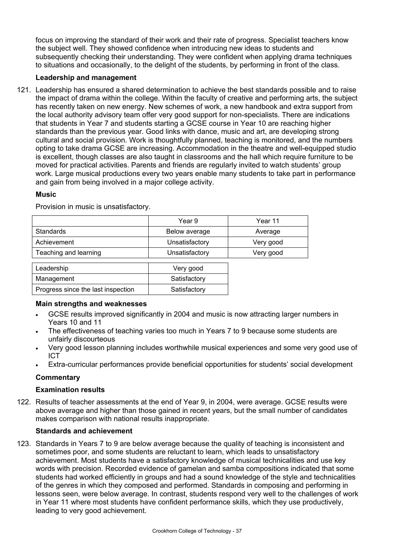focus on improving the standard of their work and their rate of progress. Specialist teachers know the subject well. They showed confidence when introducing new ideas to students and subsequently checking their understanding. They were confident when applying drama techniques to situations and occasionally, to the delight of the students, by performing in front of the class.

### **Leadership and management**

121. Leadership has ensured a shared determination to achieve the best standards possible and to raise the impact of drama within the college. Within the faculty of creative and performing arts, the subject has recently taken on new energy. New schemes of work, a new handbook and extra support from the local authority advisory team offer very good support for non-specialists. There are indications that students in Year 7 and students starting a GCSE course in Year 10 are reaching higher standards than the previous year. Good links with dance, music and art, are developing strong cultural and social provision. Work is thoughtfully planned, teaching is monitored, and the numbers opting to take drama GCSE are increasing. Accommodation in the theatre and well-equipped studio is excellent, though classes are also taught in classrooms and the hall which require furniture to be moved for practical activities. Parents and friends are regularly invited to watch students' group work. Large musical productions every two years enable many students to take part in performance and gain from being involved in a major college activity.

### **Music**

|                                    | Year 9         | Year 11   |
|------------------------------------|----------------|-----------|
| <b>Standards</b>                   | Below average  | Average   |
| Achievement                        | Unsatisfactory | Very good |
| Teaching and learning              | Unsatisfactory | Very good |
|                                    |                |           |
| Leadership                         | Very good      |           |
| Management                         | Satisfactory   |           |
| Progress since the last inspection | Satisfactory   |           |

Provision in music is unsatisfactory.

## **Main strengths and weaknesses**

- GCSE results improved significantly in 2004 and music is now attracting larger numbers in Years 10 and 11
- The effectiveness of teaching varies too much in Years 7 to 9 because some students are unfairly discourteous
- Very good lesson planning includes worthwhile musical experiences and some very good use of ICT
- Extra-curricular performances provide beneficial opportunities for students' social development

## **Commentary**

## **Examination results**

122. Results of teacher assessments at the end of Year 9, in 2004, were average. GCSE results were above average and higher than those gained in recent years, but the small number of candidates makes comparison with national results inappropriate.

### **Standards and achievement**

123. Standards in Years 7 to 9 are below average because the quality of teaching is inconsistent and sometimes poor, and some students are reluctant to learn, which leads to unsatisfactory achievement. Most students have a satisfactory knowledge of musical technicalities and use key words with precision. Recorded evidence of gamelan and samba compositions indicated that some students had worked efficiently in groups and had a sound knowledge of the style and technicalities of the genres in which they composed and performed. Standards in composing and performing in lessons seen, were below average. In contrast, students respond very well to the challenges of work in Year 11 where most students have confident performance skills, which they use productively, leading to very good achievement.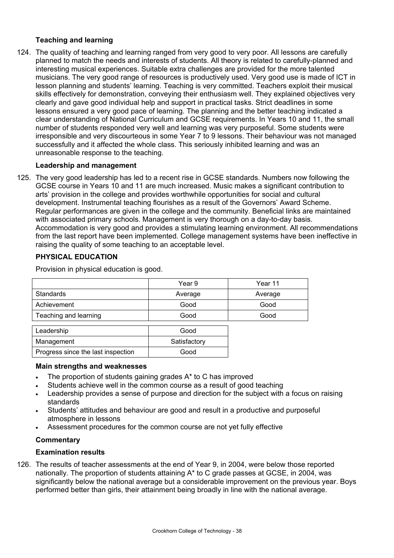### **Teaching and learning**

124. The quality of teaching and learning ranged from very good to very poor. All lessons are carefully planned to match the needs and interests of students. All theory is related to carefully-planned and interesting musical experiences. Suitable extra challenges are provided for the more talented musicians. The very good range of resources is productively used. Very good use is made of ICT in lesson planning and students' learning. Teaching is very committed. Teachers exploit their musical skills effectively for demonstration, conveying their enthusiasm well. They explained objectives very clearly and gave good individual help and support in practical tasks. Strict deadlines in some lessons ensured a very good pace of learning. The planning and the better teaching indicated a clear understanding of National Curriculum and GCSE requirements. In Years 10 and 11, the small number of students responded very well and learning was very purposeful. Some students were irresponsible and very discourteous in some Year 7 to 9 lessons. Their behaviour was not managed successfully and it affected the whole class. This seriously inhibited learning and was an unreasonable response to the teaching.

### **Leadership and management**

125. The very good leadership has led to a recent rise in GCSE standards. Numbers now following the GCSE course in Years 10 and 11 are much increased. Music makes a significant contribution to arts' provision in the college and provides worthwhile opportunities for social and cultural development. Instrumental teaching flourishes as a result of the Governors' Award Scheme. Regular performances are given in the college and the community. Beneficial links are maintained with associated primary schools. Management is very thorough on a day-to-day basis. Accommodation is very good and provides a stimulating learning environment. All recommendations from the last report have been implemented. College management systems have been ineffective in raising the quality of some teaching to an acceptable level.

## **PHYSICAL EDUCATION**

Provision in physical education is good.

|                       | Year 9  | Year 11 |
|-----------------------|---------|---------|
| <b>Standards</b>      | Average | Average |
| Achievement           | Good    | Good    |
| Teaching and learning | Good    | Good    |
|                       |         |         |

| Leadership                         | Good         |
|------------------------------------|--------------|
| Management                         | Satisfactory |
| Progress since the last inspection | Good         |

### **Main strengths and weaknesses**

- The proportion of students gaining grades A\* to C has improved
- Students achieve well in the common course as a result of good teaching
- Leadership provides a sense of purpose and direction for the subject with a focus on raising standards
- Students' attitudes and behaviour are good and result in a productive and purposeful atmosphere in lessons
- Assessment procedures for the common course are not yet fully effective

### **Commentary**

### **Examination results**

126. The results of teacher assessments at the end of Year 9, in 2004, were below those reported nationally. The proportion of students attaining A\* to C grade passes at GCSE, in 2004, was significantly below the national average but a considerable improvement on the previous year. Boys performed better than girls, their attainment being broadly in line with the national average.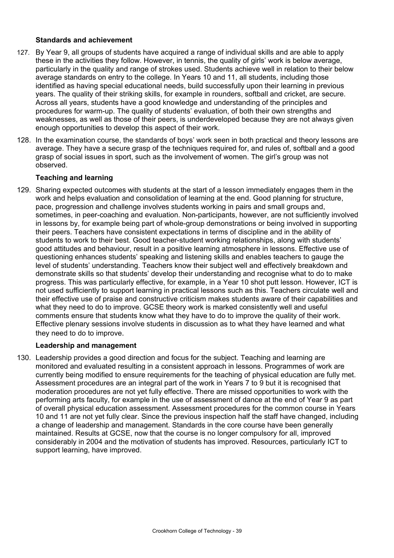### **Standards and achievement**

- 127. By Year 9, all groups of students have acquired a range of individual skills and are able to apply these in the activities they follow. However, in tennis, the quality of girls' work is below average, particularly in the quality and range of strokes used. Students achieve well in relation to their below average standards on entry to the college. In Years 10 and 11, all students, including those identified as having special educational needs, build successfully upon their learning in previous years. The quality of their striking skills, for example in rounders, softball and cricket, are secure. Across all years, students have a good knowledge and understanding of the principles and procedures for warm-up. The quality of students' evaluation, of both their own strengths and weaknesses, as well as those of their peers, is underdeveloped because they are not always given enough opportunities to develop this aspect of their work.
- 128. In the examination course, the standards of boys' work seen in both practical and theory lessons are average. They have a secure grasp of the techniques required for, and rules of, softball and a good grasp of social issues in sport, such as the involvement of women. The girl's group was not observed.

### **Teaching and learning**

129. Sharing expected outcomes with students at the start of a lesson immediately engages them in the work and helps evaluation and consolidation of learning at the end. Good planning for structure, pace, progression and challenge involves students working in pairs and small groups and, sometimes, in peer-coaching and evaluation. Non-participants, however, are not sufficiently involved in lessons by, for example being part of whole-group demonstrations or being involved in supporting their peers. Teachers have consistent expectations in terms of discipline and in the ability of students to work to their best. Good teacher-student working relationships, along with students' good attitudes and behaviour, result in a positive learning atmosphere in lessons. Effective use of questioning enhances students' speaking and listening skills and enables teachers to gauge the level of students' understanding. Teachers know their subject well and effectively breakdown and demonstrate skills so that students' develop their understanding and recognise what to do to make progress. This was particularly effective, for example, in a Year 10 shot putt lesson. However, ICT is not used sufficiently to support learning in practical lessons such as this. Teachers circulate well and their effective use of praise and constructive criticism makes students aware of their capabilities and what they need to do to improve. GCSE theory work is marked consistently well and useful comments ensure that students know what they have to do to improve the quality of their work. Effective plenary sessions involve students in discussion as to what they have learned and what they need to do to improve.

#### **Leadership and management**

130. Leadership provides a good direction and focus for the subject. Teaching and learning are monitored and evaluated resulting in a consistent approach in lessons. Programmes of work are currently being modified to ensure requirements for the teaching of physical education are fully met. Assessment procedures are an integral part of the work in Years 7 to 9 but it is recognised that moderation procedures are not yet fully effective. There are missed opportunities to work with the performing arts faculty, for example in the use of assessment of dance at the end of Year 9 as part of overall physical education assessment. Assessment procedures for the common course in Years 10 and 11 are not yet fully clear. Since the previous inspection half the staff have changed, including a change of leadership and management. Standards in the core course have been generally maintained. Results at GCSE, now that the course is no longer compulsory for all, improved considerably in 2004 and the motivation of students has improved. Resources, particularly ICT to support learning, have improved.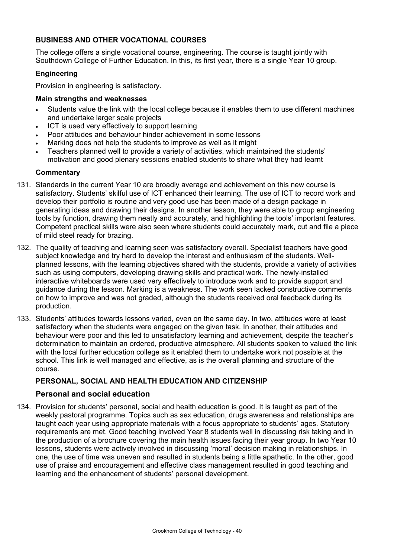### **BUSINESS AND OTHER VOCATIONAL COURSES**

The college offers a single vocational course, engineering. The course is taught jointly with Southdown College of Further Education. In this, its first year, there is a single Year 10 group.

### **Engineering**

Provision in engineering is satisfactory.

#### **Main strengths and weaknesses**

- Students value the link with the local college because it enables them to use different machines and undertake larger scale projects
- ICT is used very effectively to support learning
- Poor attitudes and behaviour hinder achievement in some lessons
- Marking does not help the students to improve as well as it might
- Teachers planned well to provide a variety of activities, which maintained the students' motivation and good plenary sessions enabled students to share what they had learnt

#### **Commentary**

- 131. Standards in the current Year 10 are broadly average and achievement on this new course is satisfactory. Students' skilful use of ICT enhanced their learning. The use of ICT to record work and develop their portfolio is routine and very good use has been made of a design package in generating ideas and drawing their designs. In another lesson, they were able to group engineering tools by function, drawing them neatly and accurately, and highlighting the tools' important features. Competent practical skills were also seen where students could accurately mark, cut and file a piece of mild steel ready for brazing.
- 132. The quality of teaching and learning seen was satisfactory overall. Specialist teachers have good subject knowledge and try hard to develop the interest and enthusiasm of the students. Wellplanned lessons, with the learning objectives shared with the students, provide a variety of activities such as using computers, developing drawing skills and practical work. The newly-installed interactive whiteboards were used very effectively to introduce work and to provide support and guidance during the lesson. Marking is a weakness. The work seen lacked constructive comments on how to improve and was not graded, although the students received oral feedback during its production.
- 133. Students' attitudes towards lessons varied, even on the same day. In two, attitudes were at least satisfactory when the students were engaged on the given task. In another, their attitudes and behaviour were poor and this led to unsatisfactory learning and achievement, despite the teacher's determination to maintain an ordered, productive atmosphere. All students spoken to valued the link with the local further education college as it enabled them to undertake work not possible at the school. This link is well managed and effective, as is the overall planning and structure of the course.

### **PERSONAL, SOCIAL AND HEALTH EDUCATION AND CITIZENSHIP**

### **Personal and social education**

134. Provision for students' personal, social and health education is good. It is taught as part of the weekly pastoral programme. Topics such as sex education, drugs awareness and relationships are taught each year using appropriate materials with a focus appropriate to students' ages. Statutory requirements are met. Good teaching involved Year 8 students well in discussing risk taking and in the production of a brochure covering the main health issues facing their year group. In two Year 10 lessons, students were actively involved in discussing 'moral' decision making in relationships. In one, the use of time was uneven and resulted in students being a little apathetic. In the other, good use of praise and encouragement and effective class management resulted in good teaching and learning and the enhancement of students' personal development.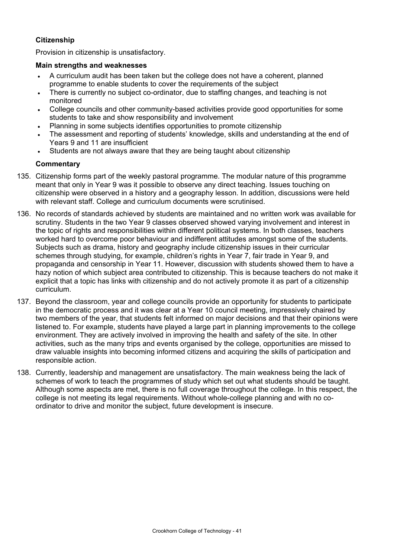### **Citizenship**

Provision in citizenship is unsatisfactory.

#### **Main strengths and weaknesses**

- A curriculum audit has been taken but the college does not have a coherent, planned programme to enable students to cover the requirements of the subject
- There is currently no subject co-ordinator, due to staffing changes, and teaching is not monitored
- College councils and other community-based activities provide good opportunities for some students to take and show responsibility and involvement
- Planning in some subjects identifies opportunities to promote citizenship
- The assessment and reporting of students' knowledge, skills and understanding at the end of Years 9 and 11 are insufficient
- Students are not always aware that they are being taught about citizenship

- 135. Citizenship forms part of the weekly pastoral programme. The modular nature of this programme meant that only in Year 9 was it possible to observe any direct teaching. Issues touching on citizenship were observed in a history and a geography lesson. In addition, discussions were held with relevant staff. College and curriculum documents were scrutinised.
- 136. No records of standards achieved by students are maintained and no written work was available for scrutiny. Students in the two Year 9 classes observed showed varying involvement and interest in the topic of rights and responsibilities within different political systems. In both classes, teachers worked hard to overcome poor behaviour and indifferent attitudes amongst some of the students. Subjects such as drama, history and geography include citizenship issues in their curricular schemes through studying, for example, children's rights in Year 7, fair trade in Year 9, and propaganda and censorship in Year 11. However, discussion with students showed them to have a hazy notion of which subject area contributed to citizenship. This is because teachers do not make it explicit that a topic has links with citizenship and do not actively promote it as part of a citizenship curriculum.
- 137. Beyond the classroom, year and college councils provide an opportunity for students to participate in the democratic process and it was clear at a Year 10 council meeting, impressively chaired by two members of the year, that students felt informed on major decisions and that their opinions were listened to. For example, students have played a large part in planning improvements to the college environment. They are actively involved in improving the health and safety of the site. In other activities, such as the many trips and events organised by the college, opportunities are missed to draw valuable insights into becoming informed citizens and acquiring the skills of participation and responsible action.
- 138. Currently, leadership and management are unsatisfactory. The main weakness being the lack of schemes of work to teach the programmes of study which set out what students should be taught. Although some aspects are met, there is no full coverage throughout the college. In this respect, the college is not meeting its legal requirements. Without whole-college planning and with no coordinator to drive and monitor the subject, future development is insecure.